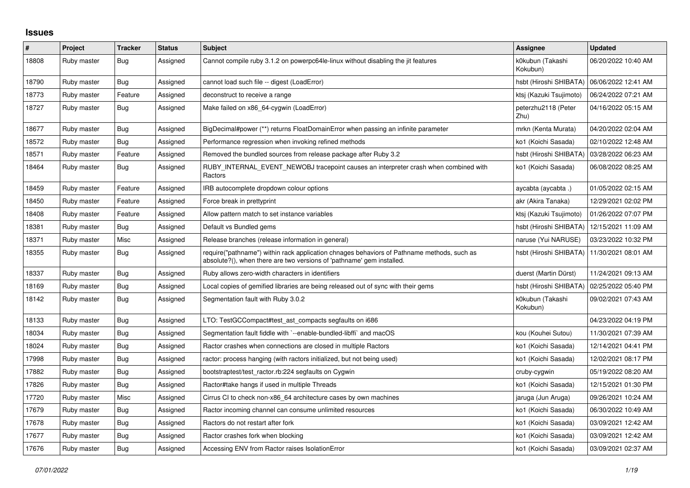## **Issues**

| $\#$  | Project     | <b>Tracker</b> | <b>Status</b> | <b>Subject</b>                                                                                                                                                      | Assignee                     | <b>Updated</b>      |
|-------|-------------|----------------|---------------|---------------------------------------------------------------------------------------------------------------------------------------------------------------------|------------------------------|---------------------|
| 18808 | Ruby master | <b>Bug</b>     | Assigned      | Cannot compile ruby 3.1.2 on powerpc64le-linux without disabling the jit features                                                                                   | k0kubun (Takashi<br>Kokubun) | 06/20/2022 10:40 AM |
| 18790 | Ruby master | Bug            | Assigned      | cannot load such file -- digest (LoadError)                                                                                                                         | hsbt (Hiroshi SHIBATA)       | 06/06/2022 12:41 AM |
| 18773 | Ruby master | Feature        | Assigned      | deconstruct to receive a range                                                                                                                                      | ktsj (Kazuki Tsujimoto)      | 06/24/2022 07:21 AM |
| 18727 | Ruby master | <b>Bug</b>     | Assigned      | Make failed on x86_64-cygwin (LoadError)                                                                                                                            | peterzhu2118 (Peter<br>Zhu   | 04/16/2022 05:15 AM |
| 18677 | Ruby master | Bug            | Assigned      | BigDecimal#power (**) returns FloatDomainError when passing an infinite parameter                                                                                   | mrkn (Kenta Murata)          | 04/20/2022 02:04 AM |
| 18572 | Ruby master | Bug            | Assigned      | Performance regression when invoking refined methods                                                                                                                | ko1 (Koichi Sasada)          | 02/10/2022 12:48 AM |
| 18571 | Ruby master | Feature        | Assigned      | Removed the bundled sources from release package after Ruby 3.2                                                                                                     | hsbt (Hiroshi SHIBATA)       | 03/28/2022 06:23 AM |
| 18464 | Ruby master | <b>Bug</b>     | Assigned      | RUBY_INTERNAL_EVENT_NEWOBJ tracepoint causes an interpreter crash when combined with<br>Ractors                                                                     | ko1 (Koichi Sasada)          | 06/08/2022 08:25 AM |
| 18459 | Ruby master | Feature        | Assigned      | IRB autocomplete dropdown colour options                                                                                                                            | aycabta (aycabta .)          | 01/05/2022 02:15 AM |
| 18450 | Ruby master | Feature        | Assigned      | Force break in prettyprint                                                                                                                                          | akr (Akira Tanaka)           | 12/29/2021 02:02 PM |
| 18408 | Ruby master | Feature        | Assigned      | Allow pattern match to set instance variables                                                                                                                       | ktsj (Kazuki Tsujimoto)      | 01/26/2022 07:07 PM |
| 18381 | Ruby master | Bug            | Assigned      | Default vs Bundled gems                                                                                                                                             | hsbt (Hiroshi SHIBATA)       | 12/15/2021 11:09 AM |
| 18371 | Ruby master | Misc           | Assigned      | Release branches (release information in general)                                                                                                                   | naruse (Yui NARUSE)          | 03/23/2022 10:32 PM |
| 18355 | Ruby master | Bug            | Assigned      | require("pathname") within rack application chnages behaviors of Pathname methods, such as<br>absolute?(), when there are two versions of 'pathname' gem installed. | hsbt (Hiroshi SHIBATA)       | 11/30/2021 08:01 AM |
| 18337 | Ruby master | Bug            | Assigned      | Ruby allows zero-width characters in identifiers                                                                                                                    | duerst (Martin Dürst)        | 11/24/2021 09:13 AM |
| 18169 | Ruby master | Bug            | Assigned      | Local copies of gemified libraries are being released out of sync with their gems                                                                                   | hsbt (Hiroshi SHIBATA)       | 02/25/2022 05:40 PM |
| 18142 | Ruby master | Bug            | Assigned      | Segmentation fault with Ruby 3.0.2                                                                                                                                  | k0kubun (Takashi<br>Kokubun) | 09/02/2021 07:43 AM |
| 18133 | Ruby master | <b>Bug</b>     | Assigned      | LTO: TestGCCompact#test_ast_compacts segfaults on i686                                                                                                              |                              | 04/23/2022 04:19 PM |
| 18034 | Ruby master | <b>Bug</b>     | Assigned      | Segmentation fault fiddle with `--enable-bundled-libffi` and macOS                                                                                                  | kou (Kouhei Sutou)           | 11/30/2021 07:39 AM |
| 18024 | Ruby master | Bug            | Assigned      | Ractor crashes when connections are closed in multiple Ractors                                                                                                      | ko1 (Koichi Sasada)          | 12/14/2021 04:41 PM |
| 17998 | Ruby master | Bug            | Assigned      | ractor: process hanging (with ractors initialized, but not being used)                                                                                              | ko1 (Koichi Sasada)          | 12/02/2021 08:17 PM |
| 17882 | Ruby master | <b>Bug</b>     | Assigned      | bootstraptest/test_ractor.rb:224 segfaults on Cygwin                                                                                                                | cruby-cygwin                 | 05/19/2022 08:20 AM |
| 17826 | Ruby master | Bug            | Assigned      | Ractor#take hangs if used in multiple Threads                                                                                                                       | ko1 (Koichi Sasada)          | 12/15/2021 01:30 PM |
| 17720 | Ruby master | Misc           | Assigned      | Cirrus CI to check non-x86_64 architecture cases by own machines                                                                                                    | jaruga (Jun Aruga)           | 09/26/2021 10:24 AM |
| 17679 | Ruby master | Bug            | Assigned      | Ractor incoming channel can consume unlimited resources                                                                                                             | ko1 (Koichi Sasada)          | 06/30/2022 10:49 AM |
| 17678 | Ruby master | <b>Bug</b>     | Assigned      | Ractors do not restart after fork                                                                                                                                   | ko1 (Koichi Sasada)          | 03/09/2021 12:42 AM |
| 17677 | Ruby master | Bug            | Assigned      | Ractor crashes fork when blocking                                                                                                                                   | ko1 (Koichi Sasada)          | 03/09/2021 12:42 AM |
| 17676 | Ruby master | Bug            | Assigned      | Accessing ENV from Ractor raises IsolationError                                                                                                                     | ko1 (Koichi Sasada)          | 03/09/2021 02:37 AM |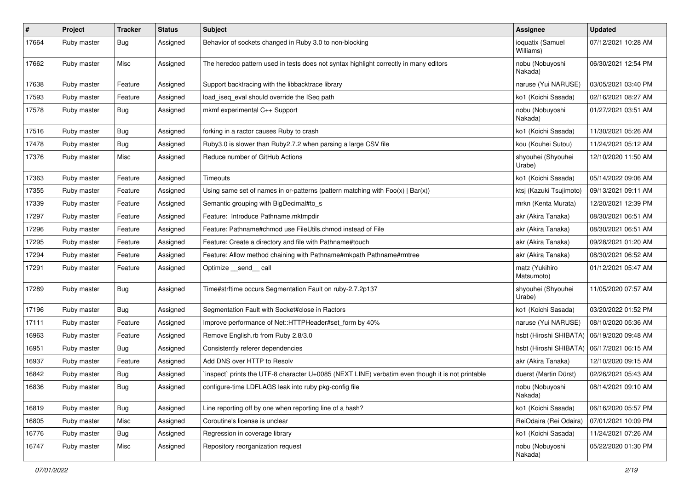| $\vert$ # | Project     | <b>Tracker</b> | <b>Status</b> | <b>Subject</b>                                                                                  | Assignee                      | <b>Updated</b>      |
|-----------|-------------|----------------|---------------|-------------------------------------------------------------------------------------------------|-------------------------------|---------------------|
| 17664     | Ruby master | Bug            | Assigned      | Behavior of sockets changed in Ruby 3.0 to non-blocking                                         | ioquatix (Samuel<br>Williams) | 07/12/2021 10:28 AM |
| 17662     | Ruby master | Misc           | Assigned      | The heredoc pattern used in tests does not syntax highlight correctly in many editors           | nobu (Nobuyoshi<br>Nakada)    | 06/30/2021 12:54 PM |
| 17638     | Ruby master | Feature        | Assigned      | Support backtracing with the libbacktrace library                                               | naruse (Yui NARUSE)           | 03/05/2021 03:40 PM |
| 17593     | Ruby master | Feature        | Assigned      | load iseg eval should override the ISeg path                                                    | ko1 (Koichi Sasada)           | 02/16/2021 08:27 AM |
| 17578     | Ruby master | Bug            | Assigned      | mkmf experimental C++ Support                                                                   | nobu (Nobuyoshi<br>Nakada)    | 01/27/2021 03:51 AM |
| 17516     | Ruby master | Bug            | Assigned      | forking in a ractor causes Ruby to crash                                                        | ko1 (Koichi Sasada)           | 11/30/2021 05:26 AM |
| 17478     | Ruby master | <b>Bug</b>     | Assigned      | Ruby3.0 is slower than Ruby2.7.2 when parsing a large CSV file                                  | kou (Kouhei Sutou)            | 11/24/2021 05:12 AM |
| 17376     | Ruby master | Misc           | Assigned      | Reduce number of GitHub Actions                                                                 | shyouhei (Shyouhei<br>Urabe)  | 12/10/2020 11:50 AM |
| 17363     | Ruby master | Feature        | Assigned      | Timeouts                                                                                        | ko1 (Koichi Sasada)           | 05/14/2022 09:06 AM |
| 17355     | Ruby master | Feature        | Assigned      | Using same set of names in or-patterns (pattern matching with $Foo(x)   Bar(x)$ )               | ktsj (Kazuki Tsujimoto)       | 09/13/2021 09:11 AM |
| 17339     | Ruby master | Feature        | Assigned      | Semantic grouping with BigDecimal#to_s                                                          | mrkn (Kenta Murata)           | 12/20/2021 12:39 PM |
| 17297     | Ruby master | Feature        | Assigned      | Feature: Introduce Pathname.mktmpdir                                                            | akr (Akira Tanaka)            | 08/30/2021 06:51 AM |
| 17296     | Ruby master | Feature        | Assigned      | Feature: Pathname#chmod use FileUtils.chmod instead of File                                     | akr (Akira Tanaka)            | 08/30/2021 06:51 AM |
| 17295     | Ruby master | Feature        | Assigned      | Feature: Create a directory and file with Pathname#touch                                        | akr (Akira Tanaka)            | 09/28/2021 01:20 AM |
| 17294     | Ruby master | Feature        | Assigned      | Feature: Allow method chaining with Pathname#mkpath Pathname#rmtree                             | akr (Akira Tanaka)            | 08/30/2021 06:52 AM |
| 17291     | Ruby master | Feature        | Assigned      | Optimize __send__ call                                                                          | matz (Yukihiro<br>Matsumoto)  | 01/12/2021 05:47 AM |
| 17289     | Ruby master | Bug            | Assigned      | Time#strftime occurs Segmentation Fault on ruby-2.7.2p137                                       | shyouhei (Shyouhei<br>Urabe)  | 11/05/2020 07:57 AM |
| 17196     | Ruby master | Bug            | Assigned      | Segmentation Fault with Socket#close in Ractors                                                 | ko1 (Koichi Sasada)           | 03/20/2022 01:52 PM |
| 17111     | Ruby master | Feature        | Assigned      | Improve performance of Net::HTTPHeader#set_form by 40%                                          | naruse (Yui NARUSE)           | 08/10/2020 05:36 AM |
| 16963     | Ruby master | Feature        | Assigned      | Remove English.rb from Ruby 2.8/3.0                                                             | hsbt (Hiroshi SHIBATA)        | 06/19/2020 09:48 AM |
| 16951     | Ruby master | Bug            | Assigned      | Consistently referer dependencies                                                               | hsbt (Hiroshi SHIBATA)        | 06/17/2021 06:15 AM |
| 16937     | Ruby master | Feature        | Assigned      | Add DNS over HTTP to Resolv                                                                     | akr (Akira Tanaka)            | 12/10/2020 09:15 AM |
| 16842     | Ruby master | Bug            | Assigned      | inspect` prints the UTF-8 character U+0085 (NEXT LINE) verbatim even though it is not printable | duerst (Martin Dürst)         | 02/26/2021 05:43 AM |
| 16836     | Ruby master | <b>Bug</b>     | Assigned      | configure-time LDFLAGS leak into ruby pkg-config file                                           | nobu (Nobuyoshi<br>Nakada)    | 08/14/2021 09:10 AM |
| 16819     | Ruby master | <b>Bug</b>     | Assigned      | Line reporting off by one when reporting line of a hash?                                        | ko1 (Koichi Sasada)           | 06/16/2020 05:57 PM |
| 16805     | Ruby master | Misc           | Assigned      | Coroutine's license is unclear                                                                  | ReiOdaira (Rei Odaira)        | 07/01/2021 10:09 PM |
| 16776     | Ruby master | <b>Bug</b>     | Assigned      | Regression in coverage library                                                                  | ko1 (Koichi Sasada)           | 11/24/2021 07:26 AM |
| 16747     | Ruby master | Misc           | Assigned      | Repository reorganization request                                                               | nobu (Nobuyoshi<br>Nakada)    | 05/22/2020 01:30 PM |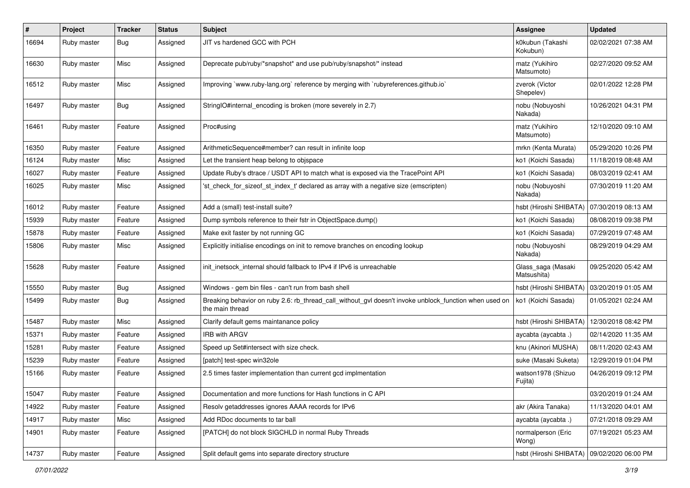| $\pmb{\#}$ | Project     | <b>Tracker</b> | <b>Status</b> | <b>Subject</b>                                                                                                            | <b>Assignee</b>                              | <b>Updated</b>      |
|------------|-------------|----------------|---------------|---------------------------------------------------------------------------------------------------------------------------|----------------------------------------------|---------------------|
| 16694      | Ruby master | Bug            | Assigned      | JIT vs hardened GCC with PCH                                                                                              | k0kubun (Takashi<br>Kokubun)                 | 02/02/2021 07:38 AM |
| 16630      | Ruby master | Misc           | Assigned      | Deprecate pub/ruby/*snapshot* and use pub/ruby/snapshot/* instead                                                         | matz (Yukihiro<br>Matsumoto)                 | 02/27/2020 09:52 AM |
| 16512      | Ruby master | Misc           | Assigned      | Improving `www.ruby-lang.org` reference by merging with `rubyreferences.github.io`                                        | zverok (Victor<br>Shepelev)                  | 02/01/2022 12:28 PM |
| 16497      | Ruby master | Bug            | Assigned      | StringIO#internal_encoding is broken (more severely in 2.7)                                                               | nobu (Nobuyoshi<br>Nakada)                   | 10/26/2021 04:31 PM |
| 16461      | Ruby master | Feature        | Assigned      | Proc#using                                                                                                                | matz (Yukihiro<br>Matsumoto)                 | 12/10/2020 09:10 AM |
| 16350      | Ruby master | Feature        | Assigned      | ArithmeticSequence#member? can result in infinite loop                                                                    | mrkn (Kenta Murata)                          | 05/29/2020 10:26 PM |
| 16124      | Ruby master | Misc           | Assigned      | Let the transient heap belong to objspace                                                                                 | ko1 (Koichi Sasada)                          | 11/18/2019 08:48 AM |
| 16027      | Ruby master | Feature        | Assigned      | Update Ruby's dtrace / USDT API to match what is exposed via the TracePoint API                                           | ko1 (Koichi Sasada)                          | 08/03/2019 02:41 AM |
| 16025      | Ruby master | Misc           | Assigned      | 'st check for sizeof st index t' declared as array with a negative size (emscripten)                                      | nobu (Nobuyoshi<br>Nakada)                   | 07/30/2019 11:20 AM |
| 16012      | Ruby master | Feature        | Assigned      | Add a (small) test-install suite?                                                                                         | hsbt (Hiroshi SHIBATA)                       | 07/30/2019 08:13 AM |
| 15939      | Ruby master | Feature        | Assigned      | Dump symbols reference to their fstr in ObjectSpace.dump()                                                                | ko1 (Koichi Sasada)                          | 08/08/2019 09:38 PM |
| 15878      | Ruby master | Feature        | Assigned      | Make exit faster by not running GC                                                                                        | ko1 (Koichi Sasada)                          | 07/29/2019 07:48 AM |
| 15806      | Ruby master | Misc           | Assigned      | Explicitly initialise encodings on init to remove branches on encoding lookup                                             | nobu (Nobuyoshi<br>Nakada)                   | 08/29/2019 04:29 AM |
| 15628      | Ruby master | Feature        | Assigned      | init_inetsock_internal should fallback to IPv4 if IPv6 is unreachable                                                     | Glass_saga (Masaki<br>Matsushita)            | 09/25/2020 05:42 AM |
| 15550      | Ruby master | Bug            | Assigned      | Windows - gem bin files - can't run from bash shell                                                                       | hsbt (Hiroshi SHIBATA)                       | 03/20/2019 01:05 AM |
| 15499      | Ruby master | <b>Bug</b>     | Assigned      | Breaking behavior on ruby 2.6: rb_thread_call_without_gvl doesn't invoke unblock_function when used on<br>the main thread | ko1 (Koichi Sasada)                          | 01/05/2021 02:24 AM |
| 15487      | Ruby master | Misc           | Assigned      | Clarify default gems maintanance policy                                                                                   | hsbt (Hiroshi SHIBATA)                       | 12/30/2018 08:42 PM |
| 15371      | Ruby master | Feature        | Assigned      | IRB with ARGV                                                                                                             | aycabta (aycabta.)                           | 02/14/2020 11:35 AM |
| 15281      | Ruby master | Feature        | Assigned      | Speed up Set#intersect with size check.                                                                                   | knu (Akinori MUSHA)                          | 08/11/2020 02:43 AM |
| 15239      | Ruby master | Feature        | Assigned      | [patch] test-spec win32ole                                                                                                | suke (Masaki Suketa)                         | 12/29/2019 01:04 PM |
| 15166      | Ruby master | Feature        | Assigned      | 2.5 times faster implementation than current gcd implmentation                                                            | watson1978 (Shizuo<br>Fujita)                | 04/26/2019 09:12 PM |
| 15047      | Ruby master | Feature        | Assigned      | Documentation and more functions for Hash functions in C API                                                              |                                              | 03/20/2019 01:24 AM |
| 14922      | Ruby master | Feature        | Assigned      | Resolv getaddresses ignores AAAA records for IPv6                                                                         | akr (Akira Tanaka)                           | 11/13/2020 04:01 AM |
| 14917      | Ruby master | Misc           | Assigned      | Add RDoc documents to tar ball                                                                                            | aycabta (aycabta.)                           | 07/21/2018 09:29 AM |
| 14901      | Ruby master | Feature        | Assigned      | [PATCH] do not block SIGCHLD in normal Ruby Threads                                                                       | normalperson (Eric<br>Wong)                  | 07/19/2021 05:23 AM |
| 14737      | Ruby master | Feature        | Assigned      | Split default gems into separate directory structure                                                                      | hsbt (Hiroshi SHIBATA)   09/02/2020 06:00 PM |                     |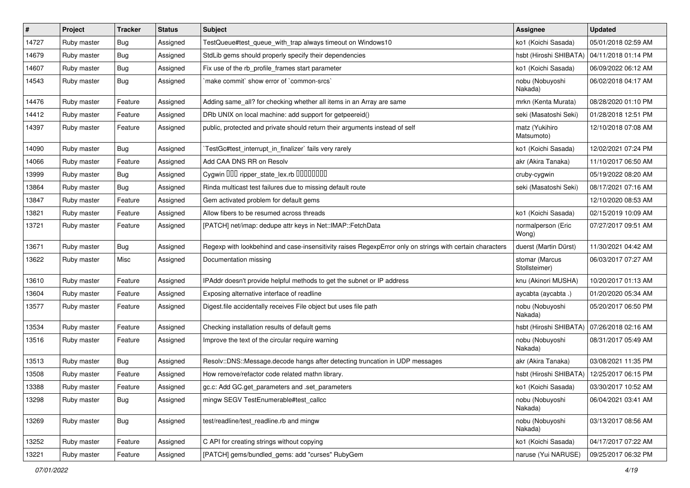| #     | Project     | <b>Tracker</b> | <b>Status</b> | <b>Subject</b>                                                                                           | Assignee                        | <b>Updated</b>      |
|-------|-------------|----------------|---------------|----------------------------------------------------------------------------------------------------------|---------------------------------|---------------------|
| 14727 | Ruby master | Bug            | Assigned      | TestQueue#test_queue_with_trap always timeout on Windows10                                               | ko1 (Koichi Sasada)             | 05/01/2018 02:59 AM |
| 14679 | Ruby master | Bug            | Assigned      | StdLib gems should properly specify their dependencies                                                   | hsbt (Hiroshi SHIBATA)          | 04/11/2018 01:14 PM |
| 14607 | Ruby master | <b>Bug</b>     | Assigned      | Fix use of the rb_profile_frames start parameter                                                         | ko1 (Koichi Sasada)             | 06/09/2022 06:12 AM |
| 14543 | Ruby master | Bug            | Assigned      | make commit' show error of 'common-srcs'                                                                 | nobu (Nobuyoshi<br>Nakada)      | 06/02/2018 04:17 AM |
| 14476 | Ruby master | Feature        | Assigned      | Adding same_all? for checking whether all items in an Array are same                                     | mrkn (Kenta Murata)             | 08/28/2020 01:10 PM |
| 14412 | Ruby master | Feature        | Assigned      | DRb UNIX on local machine: add support for getpeereid()                                                  | seki (Masatoshi Seki)           | 01/28/2018 12:51 PM |
| 14397 | Ruby master | Feature        | Assigned      | public, protected and private should return their arguments instead of self                              | matz (Yukihiro<br>Matsumoto)    | 12/10/2018 07:08 AM |
| 14090 | Ruby master | <b>Bug</b>     | Assigned      | TestGc#test_interrupt_in_finalizer` fails very rarely                                                    | ko1 (Koichi Sasada)             | 12/02/2021 07:24 PM |
| 14066 | Ruby master | Feature        | Assigned      | Add CAA DNS RR on Resolv                                                                                 | akr (Akira Tanaka)              | 11/10/2017 06:50 AM |
| 13999 | Ruby master | <b>Bug</b>     | Assigned      | Cygwin DDD ripper_state_lex.rb DDDDDDD                                                                   | cruby-cygwin                    | 05/19/2022 08:20 AM |
| 13864 | Ruby master | Bug            | Assigned      | Rinda multicast test failures due to missing default route                                               | seki (Masatoshi Seki)           | 08/17/2021 07:16 AM |
| 13847 | Ruby master | Feature        | Assigned      | Gem activated problem for default gems                                                                   |                                 | 12/10/2020 08:53 AM |
| 13821 | Ruby master | Feature        | Assigned      | Allow fibers to be resumed across threads                                                                | ko1 (Koichi Sasada)             | 02/15/2019 10:09 AM |
| 13721 | Ruby master | Feature        | Assigned      | [PATCH] net/imap: dedupe attr keys in Net::IMAP::FetchData                                               | normalperson (Eric<br>Wong)     | 07/27/2017 09:51 AM |
| 13671 | Ruby master | Bug            | Assigned      | Regexp with lookbehind and case-insensitivity raises RegexpError only on strings with certain characters | duerst (Martin Dürst)           | 11/30/2021 04:42 AM |
| 13622 | Ruby master | Misc           | Assigned      | Documentation missing                                                                                    | stomar (Marcus<br>Stollsteimer) | 06/03/2017 07:27 AM |
| 13610 | Ruby master | Feature        | Assigned      | IPAddr doesn't provide helpful methods to get the subnet or IP address                                   | knu (Akinori MUSHA)             | 10/20/2017 01:13 AM |
| 13604 | Ruby master | Feature        | Assigned      | Exposing alternative interface of readline                                                               | aycabta (aycabta .)             | 01/20/2020 05:34 AM |
| 13577 | Ruby master | Feature        | Assigned      | Digest file accidentally receives File object but uses file path                                         | nobu (Nobuyoshi<br>Nakada)      | 05/20/2017 06:50 PM |
| 13534 | Ruby master | Feature        | Assigned      | Checking installation results of default gems                                                            | hsbt (Hiroshi SHIBATA)          | 07/26/2018 02:16 AM |
| 13516 | Ruby master | Feature        | Assigned      | Improve the text of the circular require warning                                                         | nobu (Nobuyoshi<br>Nakada)      | 08/31/2017 05:49 AM |
| 13513 | Ruby master | <b>Bug</b>     | Assigned      | Resolv::DNS::Message.decode hangs after detecting truncation in UDP messages                             | akr (Akira Tanaka)              | 03/08/2021 11:35 PM |
| 13508 | Ruby master | Feature        | Assigned      | How remove/refactor code related mathn library.                                                          | hsbt (Hiroshi SHIBATA)          | 12/25/2017 06:15 PM |
| 13388 | Ruby master | Feature        | Assigned      | gc.c: Add GC.get_parameters and .set_parameters                                                          | ko1 (Koichi Sasada)             | 03/30/2017 10:52 AM |
| 13298 | Ruby master | <b>Bug</b>     | Assigned      | mingw SEGV TestEnumerable#test_callcc                                                                    | nobu (Nobuyoshi<br>Nakada)      | 06/04/2021 03:41 AM |
| 13269 | Ruby master | Bug            | Assigned      | test/readline/test readline.rb and mingw                                                                 | nobu (Nobuyoshi<br>Nakada)      | 03/13/2017 08:56 AM |
| 13252 | Ruby master | Feature        | Assigned      | C API for creating strings without copying                                                               | ko1 (Koichi Sasada)             | 04/17/2017 07:22 AM |
| 13221 | Ruby master | Feature        | Assigned      | [PATCH] gems/bundled_gems: add "curses" RubyGem                                                          | naruse (Yui NARUSE)             | 09/25/2017 06:32 PM |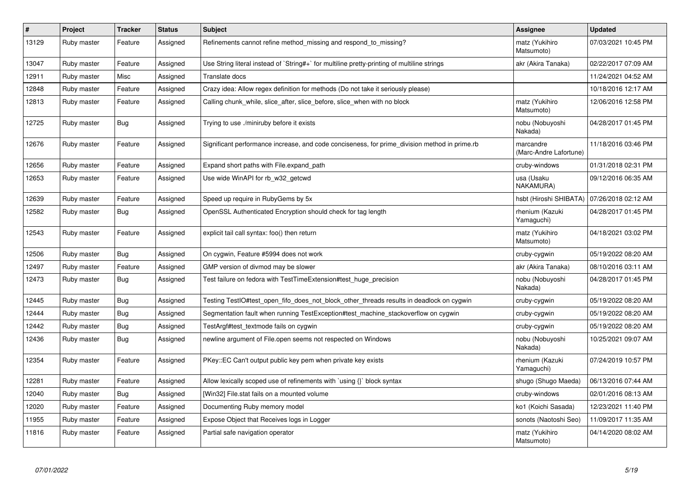| $\vert$ # | Project     | <b>Tracker</b> | <b>Status</b> | <b>Subject</b>                                                                                | Assignee                            | <b>Updated</b>      |
|-----------|-------------|----------------|---------------|-----------------------------------------------------------------------------------------------|-------------------------------------|---------------------|
| 13129     | Ruby master | Feature        | Assigned      | Refinements cannot refine method missing and respond to missing?                              | matz (Yukihiro<br>Matsumoto)        | 07/03/2021 10:45 PM |
| 13047     | Ruby master | Feature        | Assigned      | Use String literal instead of `String#+` for multiline pretty-printing of multiline strings   | akr (Akira Tanaka)                  | 02/22/2017 07:09 AM |
| 12911     | Ruby master | Misc           | Assigned      | Translate docs                                                                                |                                     | 11/24/2021 04:52 AM |
| 12848     | Ruby master | Feature        | Assigned      | Crazy idea: Allow regex definition for methods (Do not take it seriously please)              |                                     | 10/18/2016 12:17 AM |
| 12813     | Ruby master | Feature        | Assigned      | Calling chunk_while, slice_after, slice_before, slice_when with no block                      | matz (Yukihiro<br>Matsumoto)        | 12/06/2016 12:58 PM |
| 12725     | Ruby master | <b>Bug</b>     | Assigned      | Trying to use ./miniruby before it exists                                                     | nobu (Nobuyoshi<br>Nakada)          | 04/28/2017 01:45 PM |
| 12676     | Ruby master | Feature        | Assigned      | Significant performance increase, and code conciseness, for prime division method in prime.rb | marcandre<br>(Marc-Andre Lafortune) | 11/18/2016 03:46 PM |
| 12656     | Ruby master | Feature        | Assigned      | Expand short paths with File.expand path                                                      | cruby-windows                       | 01/31/2018 02:31 PM |
| 12653     | Ruby master | Feature        | Assigned      | Use wide WinAPI for rb w32 getcwd                                                             | usa (Usaku<br>NAKAMURA)             | 09/12/2016 06:35 AM |
| 12639     | Ruby master | Feature        | Assigned      | Speed up require in RubyGems by 5x                                                            | hsbt (Hiroshi SHIBATA)              | 07/26/2018 02:12 AM |
| 12582     | Ruby master | <b>Bug</b>     | Assigned      | OpenSSL Authenticated Encryption should check for tag length                                  | rhenium (Kazuki<br>Yamaguchi)       | 04/28/2017 01:45 PM |
| 12543     | Ruby master | Feature        | Assigned      | explicit tail call syntax: foo() then return                                                  | matz (Yukihiro<br>Matsumoto)        | 04/18/2021 03:02 PM |
| 12506     | Ruby master | <b>Bug</b>     | Assigned      | On cygwin, Feature #5994 does not work                                                        | cruby-cygwin                        | 05/19/2022 08:20 AM |
| 12497     | Ruby master | Feature        | Assigned      | GMP version of divmod may be slower                                                           | akr (Akira Tanaka)                  | 08/10/2016 03:11 AM |
| 12473     | Ruby master | Bug            | Assigned      | Test failure on fedora with TestTimeExtension#test_huge_precision                             | nobu (Nobuyoshi<br>Nakada)          | 04/28/2017 01:45 PM |
| 12445     | Ruby master | Bug            | Assigned      | Testing TestIO#test open fifo does not block other threads results in deadlock on cygwin      | cruby-cygwin                        | 05/19/2022 08:20 AM |
| 12444     | Ruby master | <b>Bug</b>     | Assigned      | Segmentation fault when running TestException#test_machine_stackoverflow on cygwin            | cruby-cygwin                        | 05/19/2022 08:20 AM |
| 12442     | Ruby master | Bug            | Assigned      | TestArgf#test textmode fails on cygwin                                                        | cruby-cygwin                        | 05/19/2022 08:20 AM |
| 12436     | Ruby master | <b>Bug</b>     | Assigned      | newline argument of File.open seems not respected on Windows                                  | nobu (Nobuyoshi<br>Nakada)          | 10/25/2021 09:07 AM |
| 12354     | Ruby master | Feature        | Assigned      | PKey::EC Can't output public key pem when private key exists                                  | rhenium (Kazuki<br>Yamaguchi)       | 07/24/2019 10:57 PM |
| 12281     | Ruby master | Feature        | Assigned      | Allow lexically scoped use of refinements with `using {}` block syntax                        | shugo (Shugo Maeda)                 | 06/13/2016 07:44 AM |
| 12040     | Ruby master | Bug            | Assigned      | [Win32] File.stat fails on a mounted volume                                                   | cruby-windows                       | 02/01/2016 08:13 AM |
| 12020     | Ruby master | Feature        | Assigned      | Documenting Ruby memory model                                                                 | ko1 (Koichi Sasada)                 | 12/23/2021 11:40 PM |
| 11955     | Ruby master | Feature        | Assigned      | Expose Object that Receives logs in Logger                                                    | sonots (Naotoshi Seo)               | 11/09/2017 11:35 AM |
| 11816     | Ruby master | Feature        | Assigned      | Partial safe navigation operator                                                              | matz (Yukihiro<br>Matsumoto)        | 04/14/2020 08:02 AM |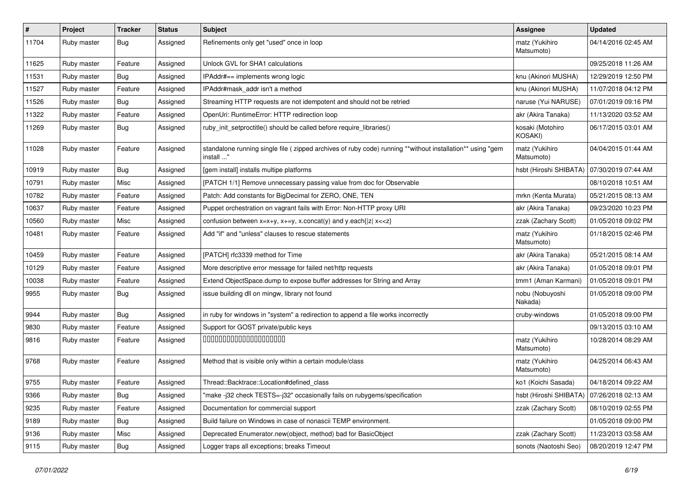| $\sharp$ | Project     | <b>Tracker</b> | <b>Status</b> | Subject                                                                                                                 | Assignee                     | <b>Updated</b>      |
|----------|-------------|----------------|---------------|-------------------------------------------------------------------------------------------------------------------------|------------------------------|---------------------|
| 11704    | Ruby master | Bug            | Assigned      | Refinements only get "used" once in loop                                                                                | matz (Yukihiro<br>Matsumoto) | 04/14/2016 02:45 AM |
| 11625    | Ruby master | Feature        | Assigned      | Unlock GVL for SHA1 calculations                                                                                        |                              | 09/25/2018 11:26 AM |
| 11531    | Ruby master | <b>Bug</b>     | Assigned      | IPAddr#== implements wrong logic                                                                                        | knu (Akinori MUSHA)          | 12/29/2019 12:50 PM |
| 11527    | Ruby master | Feature        | Assigned      | IPAddr#mask_addr isn't a method                                                                                         | knu (Akinori MUSHA)          | 11/07/2018 04:12 PM |
| 11526    | Ruby master | <b>Bug</b>     | Assigned      | Streaming HTTP requests are not idempotent and should not be retried                                                    | naruse (Yui NARUSE)          | 07/01/2019 09:16 PM |
| 11322    | Ruby master | Feature        | Assigned      | OpenUri: RuntimeError: HTTP redirection loop                                                                            | akr (Akira Tanaka)           | 11/13/2020 03:52 AM |
| 11269    | Ruby master | Bug            | Assigned      | ruby_init_setproctitle() should be called before require_libraries()                                                    | kosaki (Motohiro<br>KOSAKI)  | 06/17/2015 03:01 AM |
| 11028    | Ruby master | Feature        | Assigned      | standalone running single file ( zipped archives of ruby code) running **without installation** using "gem<br>install " | matz (Yukihiro<br>Matsumoto) | 04/04/2015 01:44 AM |
| 10919    | Ruby master | <b>Bug</b>     | Assigned      | [gem install] installs multipe platforms                                                                                | hsbt (Hiroshi SHIBATA)       | 07/30/2019 07:44 AM |
| 10791    | Ruby master | Misc           | Assigned      | [PATCH 1/1] Remove unnecessary passing value from doc for Observable                                                    |                              | 08/10/2018 10:51 AM |
| 10782    | Ruby master | Feature        | Assigned      | Patch: Add constants for BigDecimal for ZERO, ONE, TEN                                                                  | mrkn (Kenta Murata)          | 05/21/2015 08:13 AM |
| 10637    | Ruby master | Feature        | Assigned      | Puppet orchestration on vagrant fails with Error: Non-HTTP proxy URI                                                    | akr (Akira Tanaka)           | 09/23/2020 10:23 PM |
| 10560    | Ruby master | Misc           | Assigned      | confusion between $x=x+y$ , $x+=y$ , x.concat(y) and y.each{ z  $x<}$                                                   | zzak (Zachary Scott)         | 01/05/2018 09:02 PM |
| 10481    | Ruby master | Feature        | Assigned      | Add "if" and "unless" clauses to rescue statements                                                                      | matz (Yukihiro<br>Matsumoto) | 01/18/2015 02:46 PM |
| 10459    | Ruby master | Feature        | Assigned      | [PATCH] rfc3339 method for Time                                                                                         | akr (Akira Tanaka)           | 05/21/2015 08:14 AM |
| 10129    | Ruby master | Feature        | Assigned      | More descriptive error message for failed net/http requests                                                             | akr (Akira Tanaka)           | 01/05/2018 09:01 PM |
| 10038    | Ruby master | Feature        | Assigned      | Extend ObjectSpace.dump to expose buffer addresses for String and Array                                                 | tmm1 (Aman Karmani)          | 01/05/2018 09:01 PM |
| 9955     | Ruby master | <b>Bug</b>     | Assigned      | issue building dll on mingw, library not found                                                                          | nobu (Nobuyoshi<br>Nakada)   | 01/05/2018 09:00 PM |
| 9944     | Ruby master | <b>Bug</b>     | Assigned      | in ruby for windows in "system" a redirection to append a file works incorrectly                                        | cruby-windows                | 01/05/2018 09:00 PM |
| 9830     | Ruby master | Feature        | Assigned      | Support for GOST private/public keys                                                                                    |                              | 09/13/2015 03:10 AM |
| 9816     | Ruby master | Feature        | Assigned      | 00000000000000000000                                                                                                    | matz (Yukihiro<br>Matsumoto) | 10/28/2014 08:29 AM |
| 9768     | Ruby master | Feature        | Assigned      | Method that is visible only within a certain module/class                                                               | matz (Yukihiro<br>Matsumoto) | 04/25/2014 06:43 AM |
| 9755     | Ruby master | Feature        | Assigned      | Thread::Backtrace::Location#defined class                                                                               | ko1 (Koichi Sasada)          | 04/18/2014 09:22 AM |
| 9366     | Ruby master | <b>Bug</b>     | Assigned      | "make -j32 check TESTS=-j32" occasionally fails on rubygems/specification                                               | hsbt (Hiroshi SHIBATA)       | 07/26/2018 02:13 AM |
| 9235     | Ruby master | Feature        | Assigned      | Documentation for commercial support                                                                                    | zzak (Zachary Scott)         | 08/10/2019 02:55 PM |
| 9189     | Ruby master | <b>Bug</b>     | Assigned      | Build failure on Windows in case of nonascii TEMP environment.                                                          |                              | 01/05/2018 09:00 PM |
| 9136     | Ruby master | Misc           | Assigned      | Deprecated Enumerator.new(object, method) bad for BasicObject                                                           | zzak (Zachary Scott)         | 11/23/2013 03:58 AM |
| 9115     | Ruby master | <b>Bug</b>     | Assigned      | Logger traps all exceptions; breaks Timeout                                                                             | sonots (Naotoshi Seo)        | 08/20/2019 12:47 PM |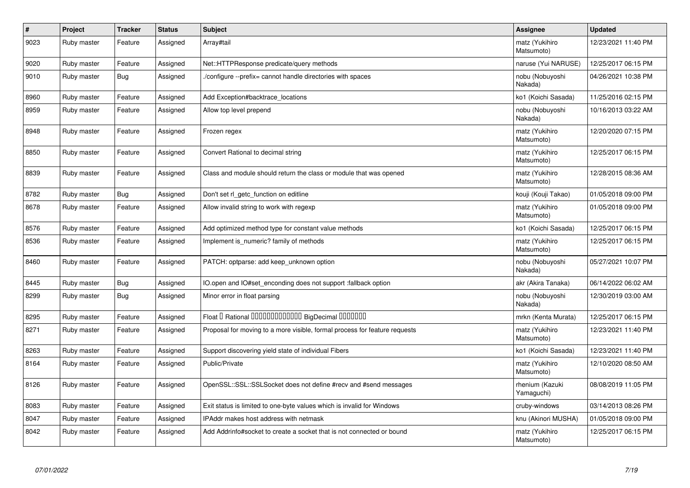| $\sharp$ | Project     | <b>Tracker</b> | <b>Status</b> | <b>Subject</b>                                                             | Assignee                      | <b>Updated</b>      |
|----------|-------------|----------------|---------------|----------------------------------------------------------------------------|-------------------------------|---------------------|
| 9023     | Ruby master | Feature        | Assigned      | Array#tail                                                                 | matz (Yukihiro<br>Matsumoto)  | 12/23/2021 11:40 PM |
| 9020     | Ruby master | Feature        | Assigned      | Net::HTTPResponse predicate/query methods                                  | naruse (Yui NARUSE)           | 12/25/2017 06:15 PM |
| 9010     | Ruby master | <b>Bug</b>     | Assigned      | /configure --prefix= cannot handle directories with spaces                 | nobu (Nobuyoshi<br>Nakada)    | 04/26/2021 10:38 PM |
| 8960     | Ruby master | Feature        | Assigned      | Add Exception#backtrace_locations                                          | ko1 (Koichi Sasada)           | 11/25/2016 02:15 PM |
| 8959     | Ruby master | Feature        | Assigned      | Allow top level prepend                                                    | nobu (Nobuyoshi<br>Nakada)    | 10/16/2013 03:22 AM |
| 8948     | Ruby master | Feature        | Assigned      | Frozen regex                                                               | matz (Yukihiro<br>Matsumoto)  | 12/20/2020 07:15 PM |
| 8850     | Ruby master | Feature        | Assigned      | Convert Rational to decimal string                                         | matz (Yukihiro<br>Matsumoto)  | 12/25/2017 06:15 PM |
| 8839     | Ruby master | Feature        | Assigned      | Class and module should return the class or module that was opened         | matz (Yukihiro<br>Matsumoto)  | 12/28/2015 08:36 AM |
| 8782     | Ruby master | Bug            | Assigned      | Don't set rl getc function on editline                                     | kouji (Kouji Takao)           | 01/05/2018 09:00 PM |
| 8678     | Ruby master | Feature        | Assigned      | Allow invalid string to work with regexp                                   | matz (Yukihiro<br>Matsumoto)  | 01/05/2018 09:00 PM |
| 8576     | Ruby master | Feature        | Assigned      | Add optimized method type for constant value methods                       | ko1 (Koichi Sasada)           | 12/25/2017 06:15 PM |
| 8536     | Ruby master | Feature        | Assigned      | Implement is numeric? family of methods                                    | matz (Yukihiro<br>Matsumoto)  | 12/25/2017 06:15 PM |
| 8460     | Ruby master | Feature        | Assigned      | PATCH: optparse: add keep_unknown option                                   | nobu (Nobuyoshi<br>Nakada)    | 05/27/2021 10:07 PM |
| 8445     | Ruby master | <b>Bug</b>     | Assigned      | IO.open and IO#set_enconding does not support :fallback option             | akr (Akira Tanaka)            | 06/14/2022 06:02 AM |
| 8299     | Ruby master | Bug            | Assigned      | Minor error in float parsing                                               | nobu (Nobuyoshi<br>Nakada)    | 12/30/2019 03:00 AM |
| 8295     | Ruby master | Feature        | Assigned      | Float I Rational 0000000000000 BigDecimal 0000000                          | mrkn (Kenta Murata)           | 12/25/2017 06:15 PM |
| 8271     | Ruby master | Feature        | Assigned      | Proposal for moving to a more visible, formal process for feature requests | matz (Yukihiro<br>Matsumoto)  | 12/23/2021 11:40 PM |
| 8263     | Ruby master | Feature        | Assigned      | Support discovering yield state of individual Fibers                       | ko1 (Koichi Sasada)           | 12/23/2021 11:40 PM |
| 8164     | Ruby master | Feature        | Assigned      | Public/Private                                                             | matz (Yukihiro<br>Matsumoto)  | 12/10/2020 08:50 AM |
| 8126     | Ruby master | Feature        | Assigned      | OpenSSL::SSL::SSLSocket does not define #recv and #send messages           | rhenium (Kazuki<br>Yamaguchi) | 08/08/2019 11:05 PM |
| 8083     | Ruby master | Feature        | Assigned      | Exit status is limited to one-byte values which is invalid for Windows     | cruby-windows                 | 03/14/2013 08:26 PM |
| 8047     | Ruby master | Feature        | Assigned      | IPAddr makes host address with netmask                                     | knu (Akinori MUSHA)           | 01/05/2018 09:00 PM |
| 8042     | Ruby master | Feature        | Assigned      | Add Addrinfo#socket to create a socket that is not connected or bound      | matz (Yukihiro<br>Matsumoto)  | 12/25/2017 06:15 PM |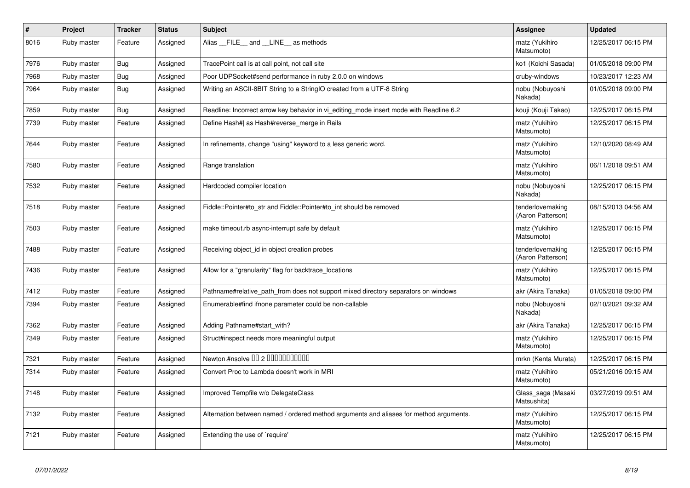| ∦    | <b>Project</b> | <b>Tracker</b> | <b>Status</b> | <b>Subject</b>                                                                          | Assignee                              | <b>Updated</b>      |
|------|----------------|----------------|---------------|-----------------------------------------------------------------------------------------|---------------------------------------|---------------------|
| 8016 | Ruby master    | Feature        | Assigned      | Alias FILE and LINE as methods                                                          | matz (Yukihiro<br>Matsumoto)          | 12/25/2017 06:15 PM |
| 7976 | Ruby master    | <b>Bug</b>     | Assigned      | TracePoint call is at call point, not call site                                         | ko1 (Koichi Sasada)                   | 01/05/2018 09:00 PM |
| 7968 | Ruby master    | Bug            | Assigned      | Poor UDPSocket#send performance in ruby 2.0.0 on windows                                | cruby-windows                         | 10/23/2017 12:23 AM |
| 7964 | Ruby master    | <b>Bug</b>     | Assigned      | Writing an ASCII-8BIT String to a StringIO created from a UTF-8 String                  | nobu (Nobuyoshi<br>Nakada)            | 01/05/2018 09:00 PM |
| 7859 | Ruby master    | <b>Bug</b>     | Assigned      | Readline: Incorrect arrow key behavior in vi_editing_mode insert mode with Readline 6.2 | kouji (Kouji Takao)                   | 12/25/2017 06:15 PM |
| 7739 | Ruby master    | Feature        | Assigned      | Define Hash#  as Hash#reverse merge in Rails                                            | matz (Yukihiro<br>Matsumoto)          | 12/25/2017 06:15 PM |
| 7644 | Ruby master    | Feature        | Assigned      | In refinements, change "using" keyword to a less generic word.                          | matz (Yukihiro<br>Matsumoto)          | 12/10/2020 08:49 AM |
| 7580 | Ruby master    | Feature        | Assigned      | Range translation                                                                       | matz (Yukihiro<br>Matsumoto)          | 06/11/2018 09:51 AM |
| 7532 | Ruby master    | Feature        | Assigned      | Hardcoded compiler location                                                             | nobu (Nobuyoshi<br>Nakada)            | 12/25/2017 06:15 PM |
| 7518 | Ruby master    | Feature        | Assigned      | Fiddle::Pointer#to str and Fiddle::Pointer#to int should be removed                     | tenderlovemaking<br>(Aaron Patterson) | 08/15/2013 04:56 AM |
| 7503 | Ruby master    | Feature        | Assigned      | make timeout rb async-interrupt safe by default                                         | matz (Yukihiro<br>Matsumoto)          | 12/25/2017 06:15 PM |
| 7488 | Ruby master    | Feature        | Assigned      | Receiving object id in object creation probes                                           | tenderlovemaking<br>(Aaron Patterson) | 12/25/2017 06:15 PM |
| 7436 | Ruby master    | Feature        | Assigned      | Allow for a "granularity" flag for backtrace_locations                                  | matz (Yukihiro<br>Matsumoto)          | 12/25/2017 06:15 PM |
| 7412 | Ruby master    | Feature        | Assigned      | Pathname#relative_path_from does not support mixed directory separators on windows      | akr (Akira Tanaka)                    | 01/05/2018 09:00 PM |
| 7394 | Ruby master    | Feature        | Assigned      | Enumerable#find ifnone parameter could be non-callable                                  | nobu (Nobuyoshi<br>Nakada)            | 02/10/2021 09:32 AM |
| 7362 | Ruby master    | Feature        | Assigned      | Adding Pathname#start with?                                                             | akr (Akira Tanaka)                    | 12/25/2017 06:15 PM |
| 7349 | Ruby master    | Feature        | Assigned      | Struct#inspect needs more meaningful output                                             | matz (Yukihiro<br>Matsumoto)          | 12/25/2017 06:15 PM |
| 7321 | Ruby master    | Feature        | Assigned      | Newton.#nsolve 00 2 0000000000                                                          | mrkn (Kenta Murata)                   | 12/25/2017 06:15 PM |
| 7314 | Ruby master    | Feature        | Assigned      | Convert Proc to Lambda doesn't work in MRI                                              | matz (Yukihiro<br>Matsumoto)          | 05/21/2016 09:15 AM |
| 7148 | Ruby master    | Feature        | Assigned      | Improved Tempfile w/o DelegateClass                                                     | Glass_saga (Masaki<br>Matsushita)     | 03/27/2019 09:51 AM |
| 7132 | Ruby master    | Feature        | Assigned      | Alternation between named / ordered method arguments and aliases for method arguments.  | matz (Yukihiro<br>Matsumoto)          | 12/25/2017 06:15 PM |
| 7121 | Ruby master    | Feature        | Assigned      | Extending the use of `require'                                                          | matz (Yukihiro<br>Matsumoto)          | 12/25/2017 06:15 PM |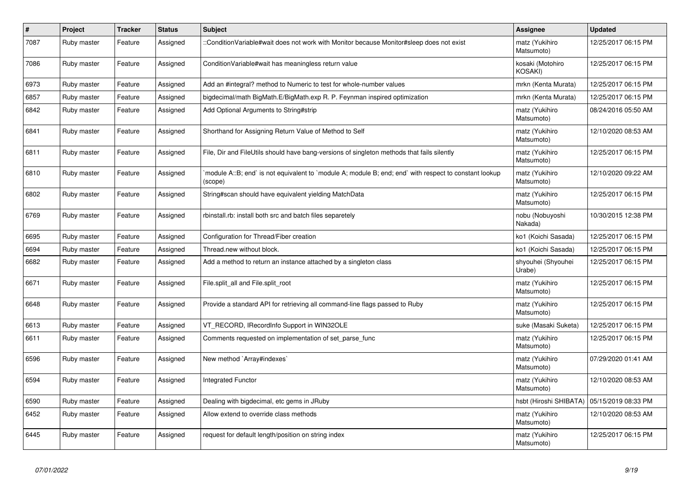| #    | Project     | <b>Tracker</b> | <b>Status</b> | <b>Subject</b>                                                                                                   | Assignee                           | <b>Updated</b>      |
|------|-------------|----------------|---------------|------------------------------------------------------------------------------------------------------------------|------------------------------------|---------------------|
| 7087 | Ruby master | Feature        | Assigned      | ::ConditionVariable#wait does not work with Monitor because Monitor#sleep does not exist                         | matz (Yukihiro<br>Matsumoto)       | 12/25/2017 06:15 PM |
| 7086 | Ruby master | Feature        | Assigned      | Condition Variable#wait has meaningless return value                                                             | kosaki (Motohiro<br><b>KOSAKI)</b> | 12/25/2017 06:15 PM |
| 6973 | Ruby master | Feature        | Assigned      | Add an #integral? method to Numeric to test for whole-number values                                              | mrkn (Kenta Murata)                | 12/25/2017 06:15 PM |
| 6857 | Ruby master | Feature        | Assigned      | bigdecimal/math BigMath.E/BigMath.exp R. P. Feynman inspired optimization                                        | mrkn (Kenta Murata)                | 12/25/2017 06:15 PM |
| 6842 | Ruby master | Feature        | Assigned      | Add Optional Arguments to String#strip                                                                           | matz (Yukihiro<br>Matsumoto)       | 08/24/2016 05:50 AM |
| 6841 | Ruby master | Feature        | Assigned      | Shorthand for Assigning Return Value of Method to Self                                                           | matz (Yukihiro<br>Matsumoto)       | 12/10/2020 08:53 AM |
| 6811 | Ruby master | Feature        | Assigned      | File, Dir and FileUtils should have bang-versions of singleton methods that fails silently                       | matz (Yukihiro<br>Matsumoto)       | 12/25/2017 06:15 PM |
| 6810 | Ruby master | Feature        | Assigned      | module A::B; end` is not equivalent to `module A; module B; end; end` with respect to constant lookup<br>(scope) | matz (Yukihiro<br>Matsumoto)       | 12/10/2020 09:22 AM |
| 6802 | Ruby master | Feature        | Assigned      | String#scan should have equivalent yielding MatchData                                                            | matz (Yukihiro<br>Matsumoto)       | 12/25/2017 06:15 PM |
| 6769 | Ruby master | Feature        | Assigned      | rbinstall.rb: install both src and batch files separetely                                                        | nobu (Nobuyoshi<br>Nakada)         | 10/30/2015 12:38 PM |
| 6695 | Ruby master | Feature        | Assigned      | Configuration for Thread/Fiber creation                                                                          | ko1 (Koichi Sasada)                | 12/25/2017 06:15 PM |
| 6694 | Ruby master | Feature        | Assigned      | Thread.new without block.                                                                                        | ko1 (Koichi Sasada)                | 12/25/2017 06:15 PM |
| 6682 | Ruby master | Feature        | Assigned      | Add a method to return an instance attached by a singleton class                                                 | shyouhei (Shyouhei<br>Urabe)       | 12/25/2017 06:15 PM |
| 6671 | Ruby master | Feature        | Assigned      | File.split_all and File.split_root                                                                               | matz (Yukihiro<br>Matsumoto)       | 12/25/2017 06:15 PM |
| 6648 | Ruby master | Feature        | Assigned      | Provide a standard API for retrieving all command-line flags passed to Ruby                                      | matz (Yukihiro<br>Matsumoto)       | 12/25/2017 06:15 PM |
| 6613 | Ruby master | Feature        | Assigned      | VT_RECORD, IRecordInfo Support in WIN32OLE                                                                       | suke (Masaki Suketa)               | 12/25/2017 06:15 PM |
| 6611 | Ruby master | Feature        | Assigned      | Comments requested on implementation of set parse func                                                           | matz (Yukihiro<br>Matsumoto)       | 12/25/2017 06:15 PM |
| 6596 | Ruby master | Feature        | Assigned      | New method `Array#indexes`                                                                                       | matz (Yukihiro<br>Matsumoto)       | 07/29/2020 01:41 AM |
| 6594 | Ruby master | Feature        | Assigned      | Integrated Functor                                                                                               | matz (Yukihiro<br>Matsumoto)       | 12/10/2020 08:53 AM |
| 6590 | Ruby master | Feature        | Assigned      | Dealing with bigdecimal, etc gems in JRuby                                                                       | hsbt (Hiroshi SHIBATA)             | 05/15/2019 08:33 PM |
| 6452 | Ruby master | Feature        | Assigned      | Allow extend to override class methods                                                                           | matz (Yukihiro<br>Matsumoto)       | 12/10/2020 08:53 AM |
| 6445 | Ruby master | Feature        | Assigned      | request for default length/position on string index                                                              | matz (Yukihiro<br>Matsumoto)       | 12/25/2017 06:15 PM |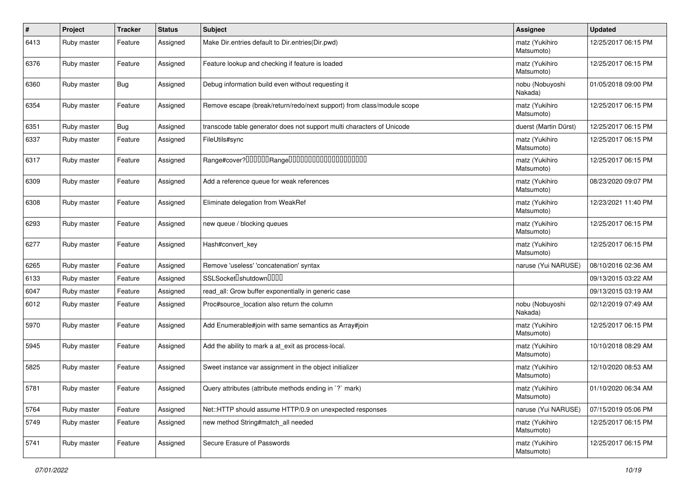| #    | Project     | <b>Tracker</b> | <b>Status</b> | Subject                                                                | Assignee                     | <b>Updated</b>      |
|------|-------------|----------------|---------------|------------------------------------------------------------------------|------------------------------|---------------------|
| 6413 | Ruby master | Feature        | Assigned      | Make Dir.entries default to Dir.entries(Dir.pwd)                       | matz (Yukihiro<br>Matsumoto) | 12/25/2017 06:15 PM |
| 6376 | Ruby master | Feature        | Assigned      | Feature lookup and checking if feature is loaded                       | matz (Yukihiro<br>Matsumoto) | 12/25/2017 06:15 PM |
| 6360 | Ruby master | Bug            | Assigned      | Debug information build even without requesting it                     | nobu (Nobuyoshi<br>Nakada)   | 01/05/2018 09:00 PM |
| 6354 | Ruby master | Feature        | Assigned      | Remove escape (break/return/redo/next support) from class/module scope | matz (Yukihiro<br>Matsumoto) | 12/25/2017 06:15 PM |
| 6351 | Ruby master | Bug            | Assigned      | transcode table generator does not support multi characters of Unicode | duerst (Martin Dürst)        | 12/25/2017 06:15 PM |
| 6337 | Ruby master | Feature        | Assigned      | FileUtils#sync                                                         | matz (Yukihiro<br>Matsumoto) | 12/25/2017 06:15 PM |
| 6317 | Ruby master | Feature        | Assigned      | Range#cover?000000Range00000000000000000000                            | matz (Yukihiro<br>Matsumoto) | 12/25/2017 06:15 PM |
| 6309 | Ruby master | Feature        | Assigned      | Add a reference queue for weak references                              | matz (Yukihiro<br>Matsumoto) | 08/23/2020 09:07 PM |
| 6308 | Ruby master | Feature        | Assigned      | Eliminate delegation from WeakRef                                      | matz (Yukihiro<br>Matsumoto) | 12/23/2021 11:40 PM |
| 6293 | Ruby master | Feature        | Assigned      | new queue / blocking queues                                            | matz (Yukihiro<br>Matsumoto) | 12/25/2017 06:15 PM |
| 6277 | Ruby master | Feature        | Assigned      | Hash#convert_key                                                       | matz (Yukihiro<br>Matsumoto) | 12/25/2017 06:15 PM |
| 6265 | Ruby master | Feature        | Assigned      | Remove 'useless' 'concatenation' syntax                                | naruse (Yui NARUSE)          | 08/10/2016 02:36 AM |
| 6133 | Ruby master | Feature        | Assigned      | SSLSocket <sup>[]</sup> shutdown <sup>[][][]</sup>                     |                              | 09/13/2015 03:22 AM |
| 6047 | Ruby master | Feature        | Assigned      | read_all: Grow buffer exponentially in generic case                    |                              | 09/13/2015 03:19 AM |
| 6012 | Ruby master | Feature        | Assigned      | Proc#source location also return the column                            | nobu (Nobuyoshi<br>Nakada)   | 02/12/2019 07:49 AM |
| 5970 | Ruby master | Feature        | Assigned      | Add Enumerable#join with same semantics as Array#join                  | matz (Yukihiro<br>Matsumoto) | 12/25/2017 06:15 PM |
| 5945 | Ruby master | Feature        | Assigned      | Add the ability to mark a at_exit as process-local.                    | matz (Yukihiro<br>Matsumoto) | 10/10/2018 08:29 AM |
| 5825 | Ruby master | Feature        | Assigned      | Sweet instance var assignment in the object initializer                | matz (Yukihiro<br>Matsumoto) | 12/10/2020 08:53 AM |
| 5781 | Ruby master | Feature        | Assigned      | Query attributes (attribute methods ending in `?` mark)                | matz (Yukihiro<br>Matsumoto) | 01/10/2020 06:34 AM |
| 5764 | Ruby master | Feature        | Assigned      | Net::HTTP should assume HTTP/0.9 on unexpected responses               | naruse (Yui NARUSE)          | 07/15/2019 05:06 PM |
| 5749 | Ruby master | Feature        | Assigned      | new method String#match_all needed                                     | matz (Yukihiro<br>Matsumoto) | 12/25/2017 06:15 PM |
| 5741 | Ruby master | Feature        | Assigned      | Secure Erasure of Passwords                                            | matz (Yukihiro<br>Matsumoto) | 12/25/2017 06:15 PM |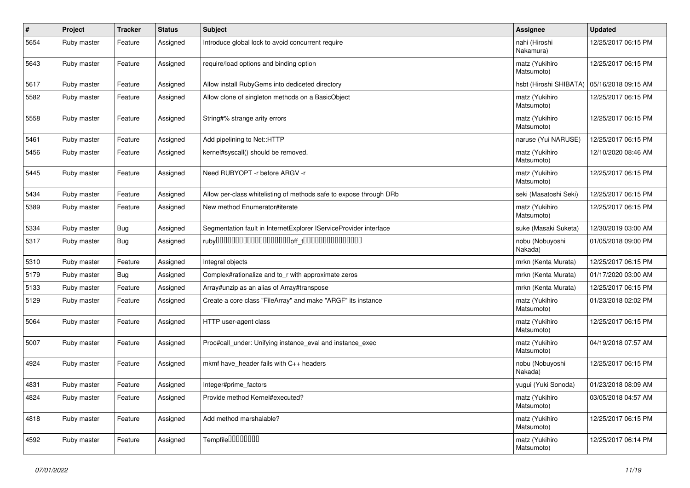| #    | Project     | <b>Tracker</b> | <b>Status</b> | Subject                                                            | Assignee                     | <b>Updated</b>      |
|------|-------------|----------------|---------------|--------------------------------------------------------------------|------------------------------|---------------------|
| 5654 | Ruby master | Feature        | Assigned      | Introduce global lock to avoid concurrent require                  | nahi (Hiroshi<br>Nakamura)   | 12/25/2017 06:15 PM |
| 5643 | Ruby master | Feature        | Assigned      | require/load options and binding option                            | matz (Yukihiro<br>Matsumoto) | 12/25/2017 06:15 PM |
| 5617 | Ruby master | Feature        | Assigned      | Allow install RubyGems into dediceted directory                    | hsbt (Hiroshi SHIBATA)       | 05/16/2018 09:15 AM |
| 5582 | Ruby master | Feature        | Assigned      | Allow clone of singleton methods on a BasicObject                  | matz (Yukihiro<br>Matsumoto) | 12/25/2017 06:15 PM |
| 5558 | Ruby master | Feature        | Assigned      | String#% strange arity errors                                      | matz (Yukihiro<br>Matsumoto) | 12/25/2017 06:15 PM |
| 5461 | Ruby master | Feature        | Assigned      | Add pipelining to Net::HTTP                                        | naruse (Yui NARUSE)          | 12/25/2017 06:15 PM |
| 5456 | Ruby master | Feature        | Assigned      | kernel#syscall() should be removed.                                | matz (Yukihiro<br>Matsumoto) | 12/10/2020 08:46 AM |
| 5445 | Ruby master | Feature        | Assigned      | Need RUBYOPT - r before ARGV - r                                   | matz (Yukihiro<br>Matsumoto) | 12/25/2017 06:15 PM |
| 5434 | Ruby master | Feature        | Assigned      | Allow per-class whitelisting of methods safe to expose through DRb | seki (Masatoshi Seki)        | 12/25/2017 06:15 PM |
| 5389 | Ruby master | Feature        | Assigned      | New method Enumerator#iterate                                      | matz (Yukihiro<br>Matsumoto) | 12/25/2017 06:15 PM |
| 5334 | Ruby master | Bug            | Assigned      | Segmentation fault in InternetExplorer IServiceProvider interface  | suke (Masaki Suketa)         | 12/30/2019 03:00 AM |
| 5317 | Ruby master | Bug            | Assigned      | $ruby$ 00000000000000000000 $r_{\text{t}}$ 000000000000000         | nobu (Nobuyoshi<br>Nakada)   | 01/05/2018 09:00 PM |
| 5310 | Ruby master | Feature        | Assigned      | Integral objects                                                   | mrkn (Kenta Murata)          | 12/25/2017 06:15 PM |
| 5179 | Ruby master | <b>Bug</b>     | Assigned      | Complex#rationalize and to_r with approximate zeros                | mrkn (Kenta Murata)          | 01/17/2020 03:00 AM |
| 5133 | Ruby master | Feature        | Assigned      | Array#unzip as an alias of Array#transpose                         | mrkn (Kenta Murata)          | 12/25/2017 06:15 PM |
| 5129 | Ruby master | Feature        | Assigned      | Create a core class "FileArray" and make "ARGF" its instance       | matz (Yukihiro<br>Matsumoto) | 01/23/2018 02:02 PM |
| 5064 | Ruby master | Feature        | Assigned      | HTTP user-agent class                                              | matz (Yukihiro<br>Matsumoto) | 12/25/2017 06:15 PM |
| 5007 | Ruby master | Feature        | Assigned      | Proc#call_under: Unifying instance_eval and instance_exec          | matz (Yukihiro<br>Matsumoto) | 04/19/2018 07:57 AM |
| 4924 | Ruby master | Feature        | Assigned      | mkmf have_header fails with C++ headers                            | nobu (Nobuyoshi<br>Nakada)   | 12/25/2017 06:15 PM |
| 4831 | Ruby master | Feature        | Assigned      | Integer#prime_factors                                              | yugui (Yuki Sonoda)          | 01/23/2018 08:09 AM |
| 4824 | Ruby master | Feature        | Assigned      | Provide method Kernel#executed?                                    | matz (Yukihiro<br>Matsumoto) | 03/05/2018 04:57 AM |
| 4818 | Ruby master | Feature        | Assigned      | Add method marshalable?                                            | matz (Yukihiro<br>Matsumoto) | 12/25/2017 06:15 PM |
| 4592 | Ruby master | Feature        | Assigned      | Tempfile <sup>[1010101011]</sup>                                   | matz (Yukihiro<br>Matsumoto) | 12/25/2017 06:14 PM |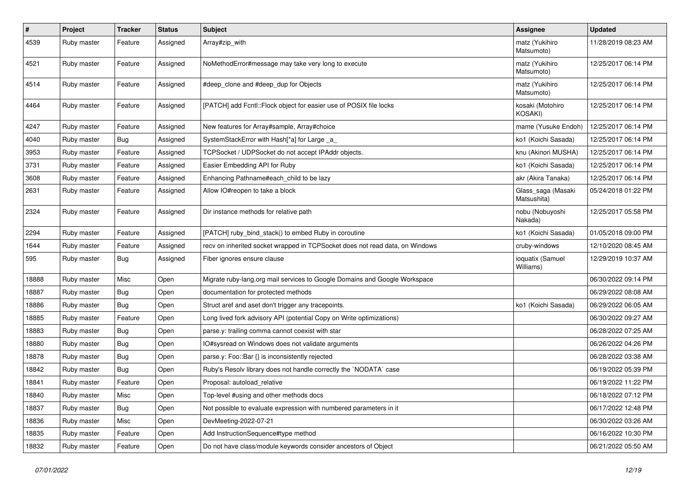| $\pmb{\#}$ | Project     | <b>Tracker</b> | <b>Status</b> | <b>Subject</b>                                                               | Assignee                           | <b>Updated</b>      |
|------------|-------------|----------------|---------------|------------------------------------------------------------------------------|------------------------------------|---------------------|
| 4539       | Ruby master | Feature        | Assigned      | Array#zip_with                                                               | matz (Yukihiro<br>Matsumoto)       | 11/28/2019 08:23 AM |
| 4521       | Ruby master | Feature        | Assigned      | NoMethodError#message may take very long to execute                          | matz (Yukihiro<br>Matsumoto)       | 12/25/2017 06:14 PM |
| 4514       | Ruby master | Feature        | Assigned      | #deep_clone and #deep_dup for Objects                                        | matz (Yukihiro<br>Matsumoto)       | 12/25/2017 06:14 PM |
| 4464       | Ruby master | Feature        | Assigned      | [PATCH] add Fcntl::Flock object for easier use of POSIX file locks           | kosaki (Motohiro<br><b>KOSAKI)</b> | 12/25/2017 06:14 PM |
| 4247       | Ruby master | Feature        | Assigned      | New features for Array#sample, Array#choice                                  | mame (Yusuke Endoh)                | 12/25/2017 06:14 PM |
| 4040       | Ruby master | Bug            | Assigned      | SystemStackError with Hash[*a] for Large _a_                                 | ko1 (Koichi Sasada)                | 12/25/2017 06:14 PM |
| 3953       | Ruby master | Feature        | Assigned      | TCPSocket / UDPSocket do not accept IPAddr objects.                          | knu (Akinori MUSHA)                | 12/25/2017 06:14 PM |
| 3731       | Ruby master | Feature        | Assigned      | Easier Embedding API for Ruby                                                | ko1 (Koichi Sasada)                | 12/25/2017 06:14 PM |
| 3608       | Ruby master | Feature        | Assigned      | Enhancing Pathname#each_child to be lazy                                     | akr (Akira Tanaka)                 | 12/25/2017 06:14 PM |
| 2631       | Ruby master | Feature        | Assigned      | Allow IO#reopen to take a block                                              | Glass_saga (Masaki<br>Matsushita)  | 05/24/2018 01:22 PM |
| 2324       | Ruby master | Feature        | Assigned      | Dir instance methods for relative path                                       | nobu (Nobuyoshi<br>Nakada)         | 12/25/2017 05:58 PM |
| 2294       | Ruby master | Feature        | Assigned      | [PATCH] ruby_bind_stack() to embed Ruby in coroutine                         | ko1 (Koichi Sasada)                | 01/05/2018 09:00 PM |
| 1644       | Ruby master | Feature        | Assigned      | recv on inherited socket wrapped in TCPSocket does not read data, on Windows | cruby-windows                      | 12/10/2020 08:45 AM |
| 595        | Ruby master | <b>Bug</b>     | Assigned      | Fiber ignores ensure clause                                                  | ioquatix (Samuel<br>Williams)      | 12/29/2019 10:37 AM |
| 18888      | Ruby master | Misc           | Open          | Migrate ruby-lang.org mail services to Google Domains and Google Workspace   |                                    | 06/30/2022 09:14 PM |
| 18887      | Ruby master | Bug            | Open          | documentation for protected methods                                          |                                    | 06/29/2022 08:08 AM |
| 18886      | Ruby master | <b>Bug</b>     | Open          | Struct aref and aset don't trigger any tracepoints.                          | ko1 (Koichi Sasada)                | 06/29/2022 06:05 AM |
| 18885      | Ruby master | Feature        | Open          | Long lived fork advisory API (potential Copy on Write optimizations)         |                                    | 06/30/2022 09:27 AM |
| 18883      | Ruby master | <b>Bug</b>     | Open          | parse.y: trailing comma cannot coexist with star                             |                                    | 06/28/2022 07:25 AM |
| 18880      | Ruby master | <b>Bug</b>     | Open          | IO#sysread on Windows does not validate arguments                            |                                    | 06/26/2022 04:26 PM |
| 18878      | Ruby master | <b>Bug</b>     | Open          | parse.y: Foo::Bar {} is inconsistently rejected                              |                                    | 06/28/2022 03:38 AM |
| 18842      | Ruby master | <b>Bug</b>     | Open          | Ruby's Resolv library does not handle correctly the `NODATA` case            |                                    | 06/19/2022 05:39 PM |
| 18841      | Ruby master | Feature        | Open          | Proposal: autoload_relative                                                  |                                    | 06/19/2022 11:22 PM |
| 18840      | Ruby master | Misc           | Open          | Top-level #using and other methods docs                                      |                                    | 06/18/2022 07:12 PM |
| 18837      | Ruby master | <b>Bug</b>     | Open          | Not possible to evaluate expression with numbered parameters in it           |                                    | 06/17/2022 12:48 PM |
| 18836      | Ruby master | Misc           | Open          | DevMeeting-2022-07-21                                                        |                                    | 06/30/2022 03:26 AM |
| 18835      | Ruby master | Feature        | Open          | Add InstructionSequence#type method                                          |                                    | 06/16/2022 10:30 PM |
| 18832      | Ruby master | Feature        | Open          | Do not have class/module keywords consider ancestors of Object               |                                    | 06/21/2022 05:50 AM |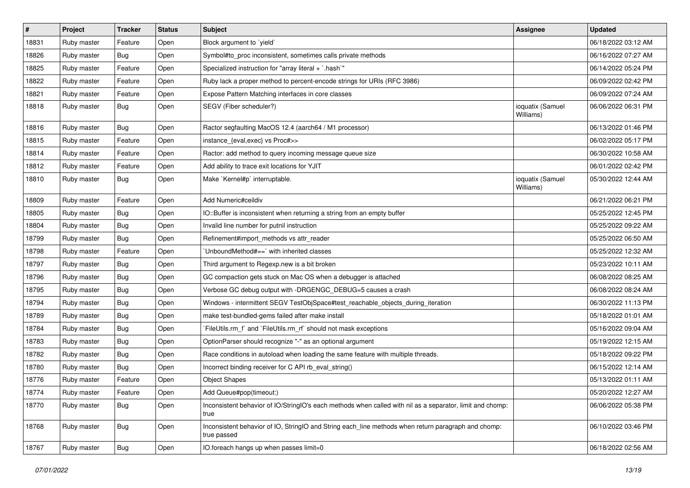| $\vert$ # | Project     | <b>Tracker</b> | <b>Status</b> | <b>Subject</b>                                                                                                     | Assignee                      | <b>Updated</b>      |
|-----------|-------------|----------------|---------------|--------------------------------------------------------------------------------------------------------------------|-------------------------------|---------------------|
| 18831     | Ruby master | Feature        | Open          | Block argument to 'yield'                                                                                          |                               | 06/18/2022 03:12 AM |
| 18826     | Ruby master | <b>Bug</b>     | Open          | Symbol#to_proc inconsistent, sometimes calls private methods                                                       |                               | 06/16/2022 07:27 AM |
| 18825     | Ruby master | Feature        | Open          | Specialized instruction for "array literal + `.hash`"                                                              |                               | 06/14/2022 05:24 PM |
| 18822     | Ruby master | Feature        | Open          | Ruby lack a proper method to percent-encode strings for URIs (RFC 3986)                                            |                               | 06/09/2022 02:42 PM |
| 18821     | Ruby master | Feature        | Open          | Expose Pattern Matching interfaces in core classes                                                                 |                               | 06/09/2022 07:24 AM |
| 18818     | Ruby master | <b>Bug</b>     | Open          | SEGV (Fiber scheduler?)                                                                                            | ioquatix (Samuel<br>Williams) | 06/06/2022 06:31 PM |
| 18816     | Ruby master | <b>Bug</b>     | Open          | Ractor segfaulting MacOS 12.4 (aarch64 / M1 processor)                                                             |                               | 06/13/2022 01:46 PM |
| 18815     | Ruby master | Feature        | Open          | instance_{eval,exec} vs Proc#>>                                                                                    |                               | 06/02/2022 05:17 PM |
| 18814     | Ruby master | Feature        | Open          | Ractor: add method to query incoming message queue size                                                            |                               | 06/30/2022 10:58 AM |
| 18812     | Ruby master | Feature        | Open          | Add ability to trace exit locations for YJIT                                                                       |                               | 06/01/2022 02:42 PM |
| 18810     | Ruby master | <b>Bug</b>     | Open          | Make `Kernel#p` interruptable.                                                                                     | ioquatix (Samuel<br>Williams) | 05/30/2022 12:44 AM |
| 18809     | Ruby master | Feature        | Open          | Add Numeric#ceildiv                                                                                                |                               | 06/21/2022 06:21 PM |
| 18805     | Ruby master | <b>Bug</b>     | Open          | IO::Buffer is inconsistent when returning a string from an empty buffer                                            |                               | 05/25/2022 12:45 PM |
| 18804     | Ruby master | <b>Bug</b>     | Open          | Invalid line number for putnil instruction                                                                         |                               | 05/25/2022 09:22 AM |
| 18799     | Ruby master | <b>Bug</b>     | Open          | Refinement#import_methods vs attr_reader                                                                           |                               | 05/25/2022 06:50 AM |
| 18798     | Ruby master | Feature        | Open          | UnboundMethod#==`with inherited classes                                                                            |                               | 05/25/2022 12:32 AM |
| 18797     | Ruby master | Bug            | Open          | Third argument to Regexp.new is a bit broken                                                                       |                               | 05/23/2022 10:11 AM |
| 18796     | Ruby master | <b>Bug</b>     | Open          | GC compaction gets stuck on Mac OS when a debugger is attached                                                     |                               | 06/08/2022 08:25 AM |
| 18795     | Ruby master | <b>Bug</b>     | Open          | Verbose GC debug output with -DRGENGC_DEBUG=5 causes a crash                                                       |                               | 06/08/2022 08:24 AM |
| 18794     | Ruby master | <b>Bug</b>     | Open          | Windows - intermittent SEGV TestObjSpace#test_reachable_objects_during_iteration                                   |                               | 06/30/2022 11:13 PM |
| 18789     | Ruby master | <b>Bug</b>     | Open          | make test-bundled-gems failed after make install                                                                   |                               | 05/18/2022 01:01 AM |
| 18784     | Ruby master | Bug            | Open          | FileUtils.rm_f`and `FileUtils.rm_rf` should not mask exceptions                                                    |                               | 05/16/2022 09:04 AM |
| 18783     | Ruby master | <b>Bug</b>     | Open          | OptionParser should recognize "-" as an optional argument                                                          |                               | 05/19/2022 12:15 AM |
| 18782     | Ruby master | <b>Bug</b>     | Open          | Race conditions in autoload when loading the same feature with multiple threads.                                   |                               | 05/18/2022 09:22 PM |
| 18780     | Ruby master | <b>Bug</b>     | Open          | Incorrect binding receiver for C API rb_eval_string()                                                              |                               | 06/15/2022 12:14 AM |
| 18776     | Ruby master | Feature        | Open          | <b>Object Shapes</b>                                                                                               |                               | 05/13/2022 01:11 AM |
| 18774     | Ruby master | Feature        | Open          | Add Queue#pop(timeout:)                                                                                            |                               | 05/20/2022 12:27 AM |
| 18770     | Ruby master | <b>Bug</b>     | Open          | Inconsistent behavior of IO/StringIO's each methods when called with nil as a separator, limit and chomp:<br>true  |                               | 06/06/2022 05:38 PM |
| 18768     | Ruby master | <b>Bug</b>     | Open          | Inconsistent behavior of IO, StringIO and String each line methods when return paragraph and chomp:<br>true passed |                               | 06/10/2022 03:46 PM |
| 18767     | Ruby master | <b>Bug</b>     | Open          | IO.foreach hangs up when passes limit=0                                                                            |                               | 06/18/2022 02:56 AM |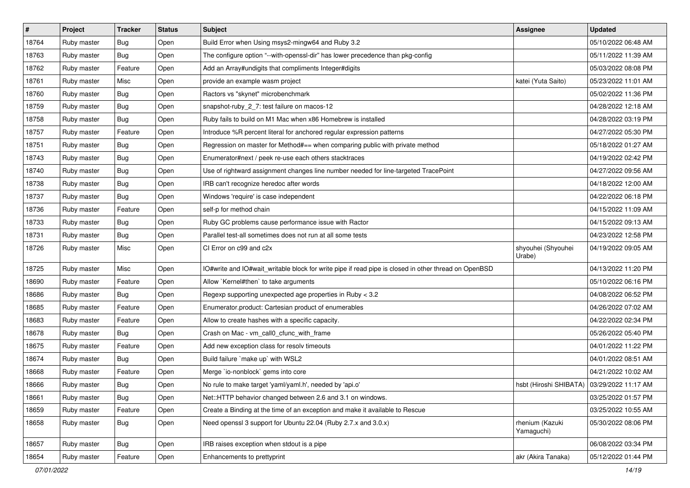| $\pmb{\#}$ | Project     | <b>Tracker</b> | <b>Status</b> | <b>Subject</b>                                                                                       | Assignee                                     | <b>Updated</b>      |
|------------|-------------|----------------|---------------|------------------------------------------------------------------------------------------------------|----------------------------------------------|---------------------|
| 18764      | Ruby master | <b>Bug</b>     | Open          | Build Error when Using msys2-mingw64 and Ruby 3.2                                                    |                                              | 05/10/2022 06:48 AM |
| 18763      | Ruby master | <b>Bug</b>     | Open          | The configure option "--with-openssl-dir" has lower precedence than pkg-config                       |                                              | 05/11/2022 11:39 AM |
| 18762      | Ruby master | Feature        | Open          | Add an Array#undigits that compliments Integer#digits                                                |                                              | 05/03/2022 08:08 PM |
| 18761      | Ruby master | Misc           | Open          | provide an example wasm project                                                                      | katei (Yuta Saito)                           | 05/23/2022 11:01 AM |
| 18760      | Ruby master | <b>Bug</b>     | Open          | Ractors vs "skynet" microbenchmark                                                                   |                                              | 05/02/2022 11:36 PM |
| 18759      | Ruby master | <b>Bug</b>     | Open          | snapshot-ruby_2_7: test failure on macos-12                                                          |                                              | 04/28/2022 12:18 AM |
| 18758      | Ruby master | <b>Bug</b>     | Open          | Ruby fails to build on M1 Mac when x86 Homebrew is installed                                         |                                              | 04/28/2022 03:19 PM |
| 18757      | Ruby master | Feature        | Open          | Introduce %R percent literal for anchored regular expression patterns                                |                                              | 04/27/2022 05:30 PM |
| 18751      | Ruby master | <b>Bug</b>     | Open          | Regression on master for Method#== when comparing public with private method                         |                                              | 05/18/2022 01:27 AM |
| 18743      | Ruby master | <b>Bug</b>     | Open          | Enumerator#next / peek re-use each others stacktraces                                                |                                              | 04/19/2022 02:42 PM |
| 18740      | Ruby master | <b>Bug</b>     | Open          | Use of rightward assignment changes line number needed for line-targeted TracePoint                  |                                              | 04/27/2022 09:56 AM |
| 18738      | Ruby master | <b>Bug</b>     | Open          | IRB can't recognize heredoc after words                                                              |                                              | 04/18/2022 12:00 AM |
| 18737      | Ruby master | Bug            | Open          | Windows 'require' is case independent                                                                |                                              | 04/22/2022 06:18 PM |
| 18736      | Ruby master | Feature        | Open          | self-p for method chain                                                                              |                                              | 04/15/2022 11:09 AM |
| 18733      | Ruby master | <b>Bug</b>     | Open          | Ruby GC problems cause performance issue with Ractor                                                 |                                              | 04/15/2022 09:13 AM |
| 18731      | Ruby master | <b>Bug</b>     | Open          | Parallel test-all sometimes does not run at all some tests                                           |                                              | 04/23/2022 12:58 PM |
| 18726      | Ruby master | Misc           | Open          | CI Error on c99 and c2x                                                                              | shyouhei (Shyouhei<br>Urabe)                 | 04/19/2022 09:05 AM |
| 18725      | Ruby master | Misc           | Open          | IO#write and IO#wait_writable block for write pipe if read pipe is closed in other thread on OpenBSD |                                              | 04/13/2022 11:20 PM |
| 18690      | Ruby master | Feature        | Open          | Allow `Kernel#then` to take arguments                                                                |                                              | 05/10/2022 06:16 PM |
| 18686      | Ruby master | <b>Bug</b>     | Open          | Regexp supporting unexpected age properties in Ruby < 3.2                                            |                                              | 04/08/2022 06:52 PM |
| 18685      | Ruby master | Feature        | Open          | Enumerator.product: Cartesian product of enumerables                                                 |                                              | 04/26/2022 07:02 AM |
| 18683      | Ruby master | Feature        | Open          | Allow to create hashes with a specific capacity.                                                     |                                              | 04/22/2022 02:34 PM |
| 18678      | Ruby master | <b>Bug</b>     | Open          | Crash on Mac - vm_call0_cfunc_with_frame                                                             |                                              | 05/26/2022 05:40 PM |
| 18675      | Ruby master | Feature        | Open          | Add new exception class for resolv timeouts                                                          |                                              | 04/01/2022 11:22 PM |
| 18674      | Ruby master | <b>Bug</b>     | Open          | Build failure `make up` with WSL2                                                                    |                                              | 04/01/2022 08:51 AM |
| 18668      | Ruby master | Feature        | Open          | Merge `io-nonblock` gems into core                                                                   |                                              | 04/21/2022 10:02 AM |
| 18666      | Ruby master | <b>Bug</b>     | Open          | No rule to make target 'yaml/yaml.h', needed by 'api.o'                                              | hsbt (Hiroshi SHIBATA)   03/29/2022 11:17 AM |                     |
| 18661      | Ruby master | <b>Bug</b>     | Open          | Net::HTTP behavior changed between 2.6 and 3.1 on windows.                                           |                                              | 03/25/2022 01:57 PM |
| 18659      | Ruby master | Feature        | Open          | Create a Binding at the time of an exception and make it available to Rescue                         |                                              | 03/25/2022 10:55 AM |
| 18658      | Ruby master | <b>Bug</b>     | Open          | Need openssl 3 support for Ubuntu 22.04 (Ruby 2.7.x and 3.0.x)                                       | rhenium (Kazuki<br>Yamaguchi)                | 05/30/2022 08:06 PM |
| 18657      | Ruby master | <b>Bug</b>     | Open          | IRB raises exception when stdout is a pipe                                                           |                                              | 06/08/2022 03:34 PM |
| 18654      | Ruby master | Feature        | Open          | Enhancements to prettyprint                                                                          | akr (Akira Tanaka)                           | 05/12/2022 01:44 PM |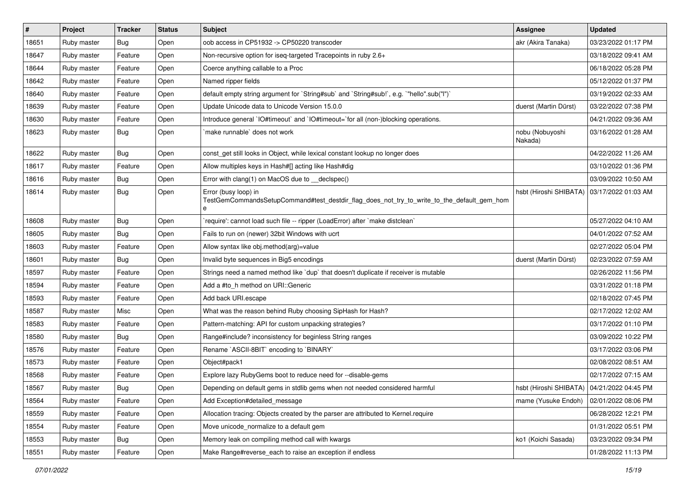| $\vert$ # | Project     | <b>Tracker</b> | <b>Status</b> | <b>Subject</b>                                                                                                          | Assignee                                     | <b>Updated</b>      |
|-----------|-------------|----------------|---------------|-------------------------------------------------------------------------------------------------------------------------|----------------------------------------------|---------------------|
| 18651     | Ruby master | <b>Bug</b>     | Open          | oob access in CP51932 -> CP50220 transcoder                                                                             | akr (Akira Tanaka)                           | 03/23/2022 01:17 PM |
| 18647     | Ruby master | Feature        | Open          | Non-recursive option for iseq-targeted Tracepoints in ruby 2.6+                                                         |                                              | 03/18/2022 09:41 AM |
| 18644     | Ruby master | Feature        | Open          | Coerce anything callable to a Proc                                                                                      |                                              | 06/18/2022 05:28 PM |
| 18642     | Ruby master | Feature        | Open          | Named ripper fields                                                                                                     |                                              | 05/12/2022 01:37 PM |
| 18640     | Ruby master | Feature        | Open          | default empty string argument for `String#sub` and `String#sub!`, e.g. `"hello".sub("I")`                               |                                              | 03/19/2022 02:33 AM |
| 18639     | Ruby master | Feature        | Open          | Update Unicode data to Unicode Version 15.0.0                                                                           | duerst (Martin Dürst)                        | 03/22/2022 07:38 PM |
| 18630     | Ruby master | Feature        | Open          | Introduce general `IO#timeout` and `IO#timeout=`for all (non-)blocking operations.                                      |                                              | 04/21/2022 09:36 AM |
| 18623     | Ruby master | <b>Bug</b>     | Open          | make runnable' does not work                                                                                            | nobu (Nobuyoshi<br>Nakada)                   | 03/16/2022 01:28 AM |
| 18622     | Ruby master | <b>Bug</b>     | Open          | const get still looks in Object, while lexical constant lookup no longer does                                           |                                              | 04/22/2022 11:26 AM |
| 18617     | Ruby master | Feature        | Open          | Allow multiples keys in Hash#[] acting like Hash#dig                                                                    |                                              | 03/10/2022 01:36 PM |
| 18616     | Ruby master | <b>Bug</b>     | Open          | Error with clang(1) on MacOS due to __declspec()                                                                        |                                              | 03/09/2022 10:50 AM |
| 18614     | Ruby master | <b>Bug</b>     | Open          | Error (busy loop) in<br>TestGemCommandsSetupCommand#test_destdir_flag_does_not_try_to_write_to_the_default_gem_hom<br>e | hsbt (Hiroshi SHIBATA)                       | 03/17/2022 01:03 AM |
| 18608     | Ruby master | <b>Bug</b>     | Open          | 'require': cannot load such file -- ripper (LoadError) after 'make distclean'                                           |                                              | 05/27/2022 04:10 AM |
| 18605     | Ruby master | <b>Bug</b>     | Open          | Fails to run on (newer) 32bit Windows with ucrt                                                                         |                                              | 04/01/2022 07:52 AM |
| 18603     | Ruby master | Feature        | Open          | Allow syntax like obj.method(arg)=value                                                                                 |                                              | 02/27/2022 05:04 PM |
| 18601     | Ruby master | Bug            | Open          | Invalid byte sequences in Big5 encodings                                                                                | duerst (Martin Dürst)                        | 02/23/2022 07:59 AM |
| 18597     | Ruby master | Feature        | Open          | Strings need a named method like 'dup' that doesn't duplicate if receiver is mutable                                    |                                              | 02/26/2022 11:56 PM |
| 18594     | Ruby master | Feature        | Open          | Add a #to_h method on URI::Generic                                                                                      |                                              | 03/31/2022 01:18 PM |
| 18593     | Ruby master | Feature        | Open          | Add back URI.escape                                                                                                     |                                              | 02/18/2022 07:45 PM |
| 18587     | Ruby master | Misc           | Open          | What was the reason behind Ruby choosing SipHash for Hash?                                                              |                                              | 02/17/2022 12:02 AM |
| 18583     | Ruby master | Feature        | Open          | Pattern-matching: API for custom unpacking strategies?                                                                  |                                              | 03/17/2022 01:10 PM |
| 18580     | Ruby master | <b>Bug</b>     | Open          | Range#include? inconsistency for beginless String ranges                                                                |                                              | 03/09/2022 10:22 PM |
| 18576     | Ruby master | Feature        | Open          | Rename `ASCII-8BIT` encoding to `BINARY`                                                                                |                                              | 03/17/2022 03:06 PM |
| 18573     | Ruby master | Feature        | Open          | Object#pack1                                                                                                            |                                              | 02/08/2022 08:51 AM |
| 18568     | Ruby master | Feature        | Open          | Explore lazy RubyGems boot to reduce need for --disable-gems                                                            |                                              | 02/17/2022 07:15 AM |
| 18567     | Ruby master | Bug            | Open          | Depending on default gems in stdlib gems when not needed considered harmful                                             | hsbt (Hiroshi SHIBATA)   04/21/2022 04:45 PM |                     |
| 18564     | Ruby master | Feature        | Open          | Add Exception#detailed_message                                                                                          | mame (Yusuke Endoh)                          | 02/01/2022 08:06 PM |
| 18559     | Ruby master | Feature        | Open          | Allocation tracing: Objects created by the parser are attributed to Kernel.require                                      |                                              | 06/28/2022 12:21 PM |
| 18554     | Ruby master | Feature        | Open          | Move unicode_normalize to a default gem                                                                                 |                                              | 01/31/2022 05:51 PM |
| 18553     | Ruby master | Bug            | Open          | Memory leak on compiling method call with kwargs                                                                        | ko1 (Koichi Sasada)                          | 03/23/2022 09:34 PM |
| 18551     | Ruby master | Feature        | Open          | Make Range#reverse each to raise an exception if endless                                                                |                                              | 01/28/2022 11:13 PM |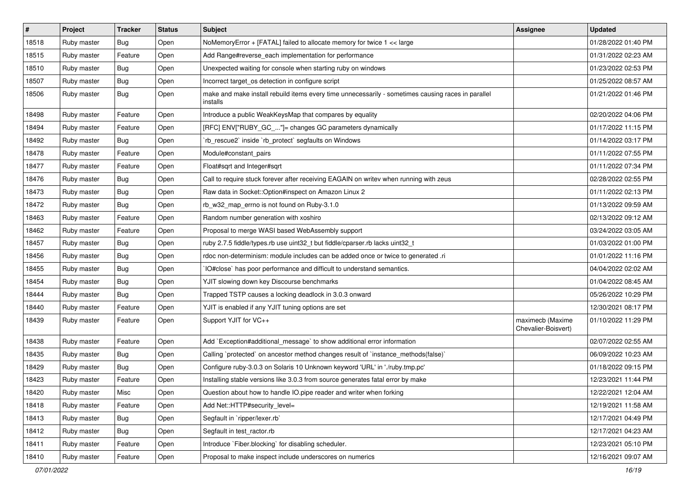| $\vert$ # | Project     | <b>Tracker</b> | <b>Status</b> | <b>Subject</b>                                                                                                 | Assignee                                | <b>Updated</b>      |
|-----------|-------------|----------------|---------------|----------------------------------------------------------------------------------------------------------------|-----------------------------------------|---------------------|
| 18518     | Ruby master | <b>Bug</b>     | Open          | NoMemoryError + [FATAL] failed to allocate memory for twice 1 << large                                         |                                         | 01/28/2022 01:40 PM |
| 18515     | Ruby master | Feature        | Open          | Add Range#reverse_each implementation for performance                                                          |                                         | 01/31/2022 02:23 AM |
| 18510     | Ruby master | Bug            | Open          | Unexpected waiting for console when starting ruby on windows                                                   |                                         | 01/23/2022 02:53 PM |
| 18507     | Ruby master | <b>Bug</b>     | Open          | Incorrect target_os detection in configure script                                                              |                                         | 01/25/2022 08:57 AM |
| 18506     | Ruby master | <b>Bug</b>     | Open          | make and make install rebuild items every time unnecessarily - sometimes causing races in parallel<br>installs |                                         | 01/21/2022 01:46 PM |
| 18498     | Ruby master | Feature        | Open          | Introduce a public WeakKeysMap that compares by equality                                                       |                                         | 02/20/2022 04:06 PM |
| 18494     | Ruby master | Feature        | Open          | [RFC] ENV["RUBY_GC_"]= changes GC parameters dynamically                                                       |                                         | 01/17/2022 11:15 PM |
| 18492     | Ruby master | <b>Bug</b>     | Open          | 'rb_rescue2' inside 'rb_protect' segfaults on Windows                                                          |                                         | 01/14/2022 03:17 PM |
| 18478     | Ruby master | Feature        | Open          | Module#constant_pairs                                                                                          |                                         | 01/11/2022 07:55 PM |
| 18477     | Ruby master | Feature        | Open          | Float#sqrt and Integer#sqrt                                                                                    |                                         | 01/11/2022 07:34 PM |
| 18476     | Ruby master | Bug            | Open          | Call to require stuck forever after receiving EAGAIN on writev when running with zeus                          |                                         | 02/28/2022 02:55 PM |
| 18473     | Ruby master | <b>Bug</b>     | Open          | Raw data in Socket:: Option#inspect on Amazon Linux 2                                                          |                                         | 01/11/2022 02:13 PM |
| 18472     | Ruby master | <b>Bug</b>     | Open          | rb_w32_map_errno is not found on Ruby-3.1.0                                                                    |                                         | 01/13/2022 09:59 AM |
| 18463     | Ruby master | Feature        | Open          | Random number generation with xoshiro                                                                          |                                         | 02/13/2022 09:12 AM |
| 18462     | Ruby master | Feature        | Open          | Proposal to merge WASI based WebAssembly support                                                               |                                         | 03/24/2022 03:05 AM |
| 18457     | Ruby master | <b>Bug</b>     | Open          | ruby 2.7.5 fiddle/types.rb use uint32_t but fiddle/cparser.rb lacks uint32_t                                   |                                         | 01/03/2022 01:00 PM |
| 18456     | Ruby master | <b>Bug</b>     | Open          | rdoc non-determinism: module includes can be added once or twice to generated .ri                              |                                         | 01/01/2022 11:16 PM |
| 18455     | Ruby master | <b>Bug</b>     | Open          | IO#close` has poor performance and difficult to understand semantics.                                          |                                         | 04/04/2022 02:02 AM |
| 18454     | Ruby master | <b>Bug</b>     | Open          | YJIT slowing down key Discourse benchmarks                                                                     |                                         | 01/04/2022 08:45 AM |
| 18444     | Ruby master | <b>Bug</b>     | Open          | Trapped TSTP causes a locking deadlock in 3.0.3 onward                                                         |                                         | 05/26/2022 10:29 PM |
| 18440     | Ruby master | Feature        | Open          | YJIT is enabled if any YJIT tuning options are set                                                             |                                         | 12/30/2021 08:17 PM |
| 18439     | Ruby master | Feature        | Open          | Support YJIT for VC++                                                                                          | maximecb (Maxime<br>Chevalier-Boisvert) | 01/10/2022 11:29 PM |
| 18438     | Ruby master | Feature        | Open          | Add `Exception#additional_message` to show additional error information                                        |                                         | 02/07/2022 02:55 AM |
| 18435     | Ruby master | <b>Bug</b>     | Open          | Calling `protected` on ancestor method changes result of `instance_methods(false)`                             |                                         | 06/09/2022 10:23 AM |
| 18429     | Ruby master | Bug            | Open          | Configure ruby-3.0.3 on Solaris 10 Unknown keyword 'URL' in './ruby.tmp.pc'                                    |                                         | 01/18/2022 09:15 PM |
| 18423     | Ruby master | Feature        | Open          | Installing stable versions like 3.0.3 from source generates fatal error by make                                |                                         | 12/23/2021 11:44 PM |
| 18420     | Ruby master | Misc           | Open          | Question about how to handle IO.pipe reader and writer when forking                                            |                                         | 12/22/2021 12:04 AM |
| 18418     | Ruby master | Feature        | Open          | Add Net::HTTP#security_level=                                                                                  |                                         | 12/19/2021 11:58 AM |
| 18413     | Ruby master | <b>Bug</b>     | Open          | Segfault in 'ripper/lexer.rb'                                                                                  |                                         | 12/17/2021 04:49 PM |
| 18412     | Ruby master | <b>Bug</b>     | Open          | Segfault in test_ractor.rb                                                                                     |                                         | 12/17/2021 04:23 AM |
| 18411     | Ruby master | Feature        | Open          | Introduce `Fiber.blocking` for disabling scheduler.                                                            |                                         | 12/23/2021 05:10 PM |
| 18410     | Ruby master | Feature        | Open          | Proposal to make inspect include underscores on numerics                                                       |                                         | 12/16/2021 09:07 AM |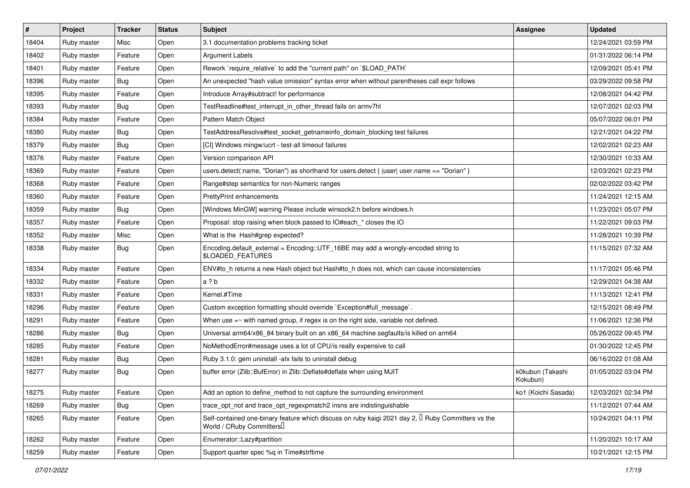| #     | Project     | <b>Tracker</b> | <b>Status</b> | <b>Subject</b>                                                                                                                      | Assignee                     | <b>Updated</b>      |
|-------|-------------|----------------|---------------|-------------------------------------------------------------------------------------------------------------------------------------|------------------------------|---------------------|
| 18404 | Ruby master | Misc           | Open          | 3.1 documentation problems tracking ticket                                                                                          |                              | 12/24/2021 03:59 PM |
| 18402 | Ruby master | Feature        | Open          | <b>Argument Labels</b>                                                                                                              |                              | 01/31/2022 06:14 PM |
| 18401 | Ruby master | Feature        | Open          | Rework `require_relative` to add the "current path" on `\$LOAD_PATH`                                                                |                              | 12/09/2021 05:41 PM |
| 18396 | Ruby master | <b>Bug</b>     | Open          | An unexpected "hash value omission" syntax error when without parentheses call expr follows                                         |                              | 03/29/2022 09:58 PM |
| 18395 | Ruby master | Feature        | Open          | Introduce Array#subtract! for performance                                                                                           |                              | 12/08/2021 04:42 PM |
| 18393 | Ruby master | <b>Bug</b>     | Open          | TestReadline#test_interrupt_in_other_thread fails on armv7hl                                                                        |                              | 12/07/2021 02:03 PM |
| 18384 | Ruby master | Feature        | Open          | Pattern Match Object                                                                                                                |                              | 05/07/2022 06:01 PM |
| 18380 | Ruby master | <b>Bug</b>     | Open          | TestAddressResolve#test socket getnameinfo domain blocking test failures                                                            |                              | 12/21/2021 04:22 PM |
| 18379 | Ruby master | <b>Bug</b>     | Open          | [CI] Windows mingw/ucrt - test-all timeout failures                                                                                 |                              | 12/02/2021 02:23 AM |
| 18376 | Ruby master | Feature        | Open          | Version comparison API                                                                                                              |                              | 12/30/2021 10:33 AM |
| 18369 | Ruby master | Feature        | Open          | users.detect(:name, "Dorian") as shorthand for users.detect { $ user user.name == "Dorian"$ }                                       |                              | 12/03/2021 02:23 PM |
| 18368 | Ruby master | Feature        | Open          | Range#step semantics for non-Numeric ranges                                                                                         |                              | 02/02/2022 03:42 PM |
| 18360 | Ruby master | Feature        | Open          | <b>PrettyPrint enhancements</b>                                                                                                     |                              | 11/24/2021 12:15 AM |
| 18359 | Ruby master | <b>Bug</b>     | Open          | [Windows MinGW] warning Please include winsock2.h before windows.h                                                                  |                              | 11/23/2021 05:07 PM |
| 18357 | Ruby master | Feature        | Open          | Proposal: stop raising when block passed to IO#each_* closes the IO                                                                 |                              | 11/22/2021 09:03 PM |
| 18352 | Ruby master | Misc           | Open          | What is the Hash#grep expected?                                                                                                     |                              | 11/28/2021 10:39 PM |
| 18338 | Ruby master | <b>Bug</b>     | Open          | Encoding.default_external = Encoding::UTF_16BE may add a wrongly-encoded string to<br>\$LOADED_FEATURES                             |                              | 11/15/2021 07:32 AM |
| 18334 | Ruby master | Feature        | Open          | ENV#to_h returns a new Hash object but Hash#to_h does not, which can cause inconsistencies                                          |                              | 11/17/2021 05:46 PM |
| 18332 | Ruby master | Feature        | Open          | a ? b                                                                                                                               |                              | 12/29/2021 04:38 AM |
| 18331 | Ruby master | Feature        | Open          | Kernel.#Time                                                                                                                        |                              | 11/13/2021 12:41 PM |
| 18296 | Ruby master | Feature        | Open          | Custom exception formatting should override `Exception#full_message`.                                                               |                              | 12/15/2021 08:49 PM |
| 18291 | Ruby master | Feature        | Open          | When use $=\sim$ with named group, if regex is on the right side, variable not defined.                                             |                              | 11/06/2021 12:36 PM |
| 18286 | Ruby master | <b>Bug</b>     | Open          | Universal arm64/x86_84 binary built on an x86_64 machine segfaults/is killed on arm64                                               |                              | 05/26/2022 09:45 PM |
| 18285 | Ruby master | Feature        | Open          | NoMethodError#message uses a lot of CPU/is really expensive to call                                                                 |                              | 01/30/2022 12:45 PM |
| 18281 | Ruby master | <b>Bug</b>     | Open          | Ruby 3.1.0: gem uninstall -alx fails to uninstall debug                                                                             |                              | 06/16/2022 01:08 AM |
| 18277 | Ruby master | <b>Bug</b>     | Open          | buffer error (Zlib::BufError) in Zlib::Deflate#deflate when using MJIT                                                              | k0kubun (Takashi<br>Kokubun) | 01/05/2022 03:04 PM |
| 18275 | Ruby master | Feature        | Open          | Add an option to define_method to not capture the surrounding environment                                                           | ko1 (Koichi Sasada)          | 12/03/2021 02:34 PM |
| 18269 | Ruby master | <b>Bug</b>     | Open          | trace_opt_not and trace_opt_regexpmatch2 insns are indistinguishable                                                                |                              | 11/12/2021 07:44 AM |
| 18265 | Ruby master | Feature        | Open          | Self-contained one-binary feature which discuss on ruby kaigi 2021 day 2, $\Box$ Ruby Committers vs the<br>World / CRuby Committers |                              | 10/24/2021 04:11 PM |
| 18262 | Ruby master | Feature        | Open          | Enumerator::Lazy#partition                                                                                                          |                              | 11/20/2021 10:17 AM |
| 18259 | Ruby master | Feature        | Open          | Support quarter spec %q in Time#strftime                                                                                            |                              | 10/21/2021 12:15 PM |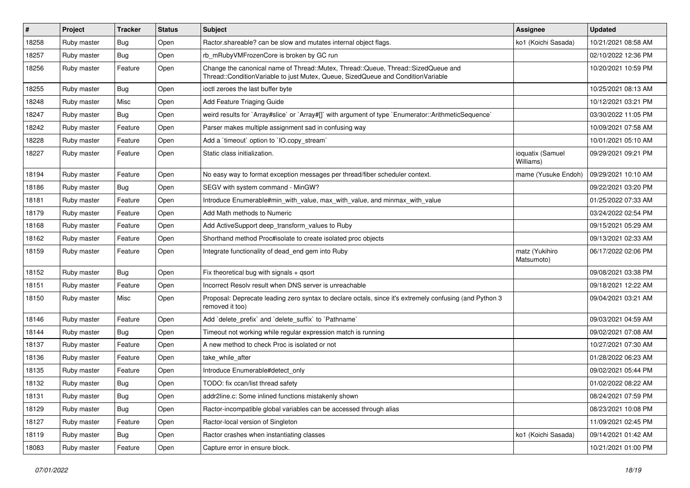| #     | Project     | <b>Tracker</b> | <b>Status</b> | <b>Subject</b>                                                                                                                                                        | <b>Assignee</b>               | <b>Updated</b>      |
|-------|-------------|----------------|---------------|-----------------------------------------------------------------------------------------------------------------------------------------------------------------------|-------------------------------|---------------------|
| 18258 | Ruby master | <b>Bug</b>     | Open          | Ractor.shareable? can be slow and mutates internal object flags.                                                                                                      | ko1 (Koichi Sasada)           | 10/21/2021 08:58 AM |
| 18257 | Ruby master | <b>Bug</b>     | Open          | rb_mRubyVMFrozenCore is broken by GC run                                                                                                                              |                               | 02/10/2022 12:36 PM |
| 18256 | Ruby master | Feature        | Open          | Change the canonical name of Thread::Mutex, Thread::Queue, Thread::SizedQueue and<br>Thread::ConditionVariable to just Mutex, Queue, SizedQueue and ConditionVariable |                               | 10/20/2021 10:59 PM |
| 18255 | Ruby master | <b>Bug</b>     | Open          | ioctl zeroes the last buffer byte                                                                                                                                     |                               | 10/25/2021 08:13 AM |
| 18248 | Ruby master | <b>Misc</b>    | Open          | Add Feature Triaging Guide                                                                                                                                            |                               | 10/12/2021 03:21 PM |
| 18247 | Ruby master | <b>Bug</b>     | Open          | weird results for `Array#slice` or `Array#[]` with argument of type `Enumerator::ArithmeticSequence`                                                                  |                               | 03/30/2022 11:05 PM |
| 18242 | Ruby master | Feature        | Open          | Parser makes multiple assignment sad in confusing way                                                                                                                 |                               | 10/09/2021 07:58 AM |
| 18228 | Ruby master | Feature        | Open          | Add a 'timeout' option to 'IO.copy_stream'                                                                                                                            |                               | 10/01/2021 05:10 AM |
| 18227 | Ruby master | Feature        | Open          | Static class initialization.                                                                                                                                          | ioquatix (Samuel<br>Williams) | 09/29/2021 09:21 PM |
| 18194 | Ruby master | Feature        | Open          | No easy way to format exception messages per thread/fiber scheduler context.                                                                                          | mame (Yusuke Endoh)           | 09/29/2021 10:10 AM |
| 18186 | Ruby master | Bug            | Open          | SEGV with system command - MinGW?                                                                                                                                     |                               | 09/22/2021 03:20 PM |
| 18181 | Ruby master | Feature        | Open          | Introduce Enumerable#min with value, max with value, and minmax with value                                                                                            |                               | 01/25/2022 07:33 AM |
| 18179 | Ruby master | Feature        | Open          | Add Math methods to Numeric                                                                                                                                           |                               | 03/24/2022 02:54 PM |
| 18168 | Ruby master | Feature        | Open          | Add ActiveSupport deep transform values to Ruby                                                                                                                       |                               | 09/15/2021 05:29 AM |
| 18162 | Ruby master | Feature        | Open          | Shorthand method Proc#isolate to create isolated proc objects                                                                                                         |                               | 09/13/2021 02:33 AM |
| 18159 | Ruby master | Feature        | Open          | Integrate functionality of dead_end gem into Ruby                                                                                                                     | matz (Yukihiro<br>Matsumoto)  | 06/17/2022 02:06 PM |
| 18152 | Ruby master | <b>Bug</b>     | Open          | Fix theoretical bug with signals $+$ qsort                                                                                                                            |                               | 09/08/2021 03:38 PM |
| 18151 | Ruby master | Feature        | Open          | Incorrect Resoly result when DNS server is unreachable                                                                                                                |                               | 09/18/2021 12:22 AM |
| 18150 | Ruby master | Misc           | Open          | Proposal: Deprecate leading zero syntax to declare octals, since it's extremely confusing (and Python 3<br>removed it too)                                            |                               | 09/04/2021 03:21 AM |
| 18146 | Ruby master | Feature        | Open          | Add 'delete_prefix' and 'delete_suffix' to 'Pathname'                                                                                                                 |                               | 09/03/2021 04:59 AM |
| 18144 | Ruby master | <b>Bug</b>     | Open          | Timeout not working while regular expression match is running                                                                                                         |                               | 09/02/2021 07:08 AM |
| 18137 | Ruby master | Feature        | Open          | A new method to check Proc is isolated or not                                                                                                                         |                               | 10/27/2021 07:30 AM |
| 18136 | Ruby master | Feature        | Open          | take while after                                                                                                                                                      |                               | 01/28/2022 06:23 AM |
| 18135 | Ruby master | Feature        | Open          | Introduce Enumerable#detect only                                                                                                                                      |                               | 09/02/2021 05:44 PM |
| 18132 | Ruby master | Bug            | Open          | TODO: fix ccan/list thread safety                                                                                                                                     |                               | 01/02/2022 08:22 AM |
| 18131 | Ruby master | Bug            | Open          | addr2line.c: Some inlined functions mistakenly shown                                                                                                                  |                               | 08/24/2021 07:59 PM |
| 18129 | Ruby master | <b>Bug</b>     | Open          | Ractor-incompatible global variables can be accessed through alias                                                                                                    |                               | 08/23/2021 10:08 PM |
| 18127 | Ruby master | Feature        | Open          | Ractor-local version of Singleton                                                                                                                                     |                               | 11/09/2021 02:45 PM |
| 18119 | Ruby master | <b>Bug</b>     | Open          | Ractor crashes when instantiating classes                                                                                                                             | ko1 (Koichi Sasada)           | 09/14/2021 01:42 AM |
| 18083 | Ruby master | Feature        | Open          | Capture error in ensure block.                                                                                                                                        |                               | 10/21/2021 01:00 PM |